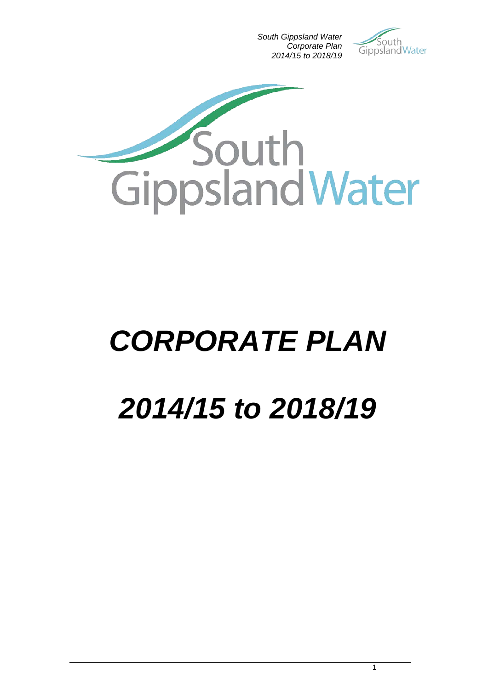*South Gippsland Water Corporate Plan 2014/15 to 2018/19*





# *CORPORATE PLAN*

# *2014/15 to 2018/19*

1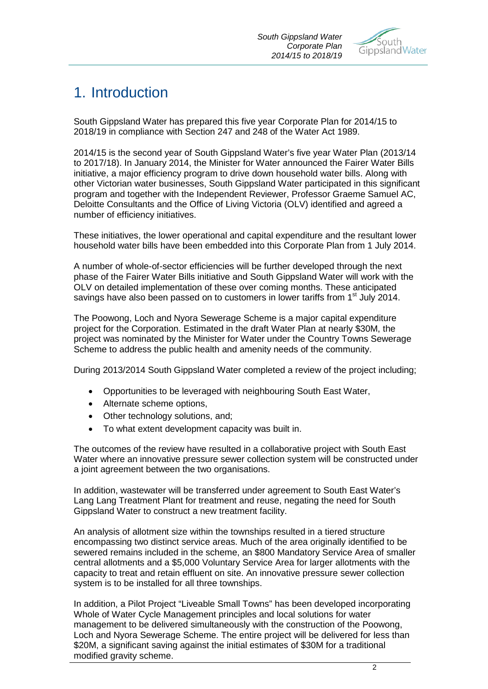

# 1. Introduction

South Gippsland Water has prepared this five year Corporate Plan for 2014/15 to 2018/19 in compliance with Section 247 and 248 of the Water Act 1989.

2014/15 is the second year of South Gippsland Water's five year Water Plan (2013/14 to 2017/18). In January 2014, the Minister for Water announced the Fairer Water Bills initiative, a major efficiency program to drive down household water bills. Along with other Victorian water businesses, South Gippsland Water participated in this significant program and together with the Independent Reviewer, Professor Graeme Samuel AC, Deloitte Consultants and the Office of Living Victoria (OLV) identified and agreed a number of efficiency initiatives.

These initiatives, the lower operational and capital expenditure and the resultant lower household water bills have been embedded into this Corporate Plan from 1 July 2014.

A number of whole-of-sector efficiencies will be further developed through the next phase of the Fairer Water Bills initiative and South Gippsland Water will work with the OLV on detailed implementation of these over coming months. These anticipated savings have also been passed on to customers in lower tariffs from 1<sup>st</sup> July 2014.

The Poowong, Loch and Nyora Sewerage Scheme is a major capital expenditure project for the Corporation. Estimated in the draft Water Plan at nearly \$30M, the project was nominated by the Minister for Water under the Country Towns Sewerage Scheme to address the public health and amenity needs of the community.

During 2013/2014 South Gippsland Water completed a review of the project including;

- Opportunities to be leveraged with neighbouring South East Water,
- Alternate scheme options,
- Other technology solutions, and;
- To what extent development capacity was built in.

The outcomes of the review have resulted in a collaborative project with South East Water where an innovative pressure sewer collection system will be constructed under a joint agreement between the two organisations.

In addition, wastewater will be transferred under agreement to South East Water's Lang Lang Treatment Plant for treatment and reuse, negating the need for South Gippsland Water to construct a new treatment facility.

An analysis of allotment size within the townships resulted in a tiered structure encompassing two distinct service areas. Much of the area originally identified to be sewered remains included in the scheme, an \$800 Mandatory Service Area of smaller central allotments and a \$5,000 Voluntary Service Area for larger allotments with the capacity to treat and retain effluent on site. An innovative pressure sewer collection system is to be installed for all three townships.

In addition, a Pilot Project "Liveable Small Towns" has been developed incorporating Whole of Water Cycle Management principles and local solutions for water management to be delivered simultaneously with the construction of the Poowong, Loch and Nyora Sewerage Scheme. The entire project will be delivered for less than \$20M, a significant saving against the initial estimates of \$30M for a traditional modified gravity scheme.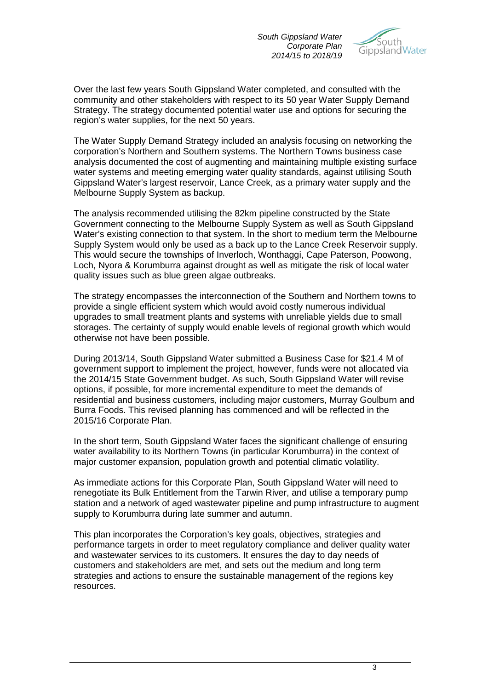

Over the last few years South Gippsland Water completed, and consulted with the community and other stakeholders with respect to its 50 year Water Supply Demand Strategy. The strategy documented potential water use and options for securing the region's water supplies, for the next 50 years.

The Water Supply Demand Strategy included an analysis focusing on networking the corporation's Northern and Southern systems. The Northern Towns business case analysis documented the cost of augmenting and maintaining multiple existing surface water systems and meeting emerging water quality standards, against utilising South Gippsland Water's largest reservoir, Lance Creek, as a primary water supply and the Melbourne Supply System as backup.

The analysis recommended utilising the 82km pipeline constructed by the State Government connecting to the Melbourne Supply System as well as South Gippsland Water's existing connection to that system. In the short to medium term the Melbourne Supply System would only be used as a back up to the Lance Creek Reservoir supply. This would secure the townships of Inverloch, Wonthaggi, Cape Paterson, Poowong, Loch, Nyora & Korumburra against drought as well as mitigate the risk of local water quality issues such as blue green algae outbreaks.

The strategy encompasses the interconnection of the Southern and Northern towns to provide a single efficient system which would avoid costly numerous individual upgrades to small treatment plants and systems with unreliable yields due to small storages. The certainty of supply would enable levels of regional growth which would otherwise not have been possible.

During 2013/14, South Gippsland Water submitted a Business Case for \$21.4 M of government support to implement the project, however, funds were not allocated via the 2014/15 State Government budget. As such, South Gippsland Water will revise options, if possible, for more incremental expenditure to meet the demands of residential and business customers, including major customers, Murray Goulburn and Burra Foods. This revised planning has commenced and will be reflected in the 2015/16 Corporate Plan.

In the short term, South Gippsland Water faces the significant challenge of ensuring water availability to its Northern Towns (in particular Korumburra) in the context of major customer expansion, population growth and potential climatic volatility.

As immediate actions for this Corporate Plan, South Gippsland Water will need to renegotiate its Bulk Entitlement from the Tarwin River, and utilise a temporary pump station and a network of aged wastewater pipeline and pump infrastructure to augment supply to Korumburra during late summer and autumn.

This plan incorporates the Corporation's key goals, objectives, strategies and performance targets in order to meet regulatory compliance and deliver quality water and wastewater services to its customers. It ensures the day to day needs of customers and stakeholders are met, and sets out the medium and long term strategies and actions to ensure the sustainable management of the regions key resources.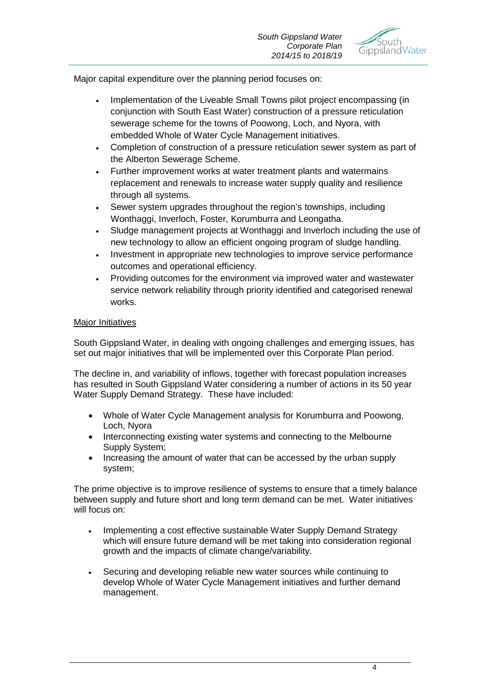

Major capital expenditure over the planning period focuses on:

- Implementation of the Liveable Small Towns pilot project encompassing (in conjunction with South East Water) construction of a pressure reticulation sewerage scheme for the towns of Poowong, Loch, and Nyora, with embedded Whole of Water Cycle Management initiatives.
- Completion of construction of a pressure reticulation sewer system as part of the Alberton Sewerage Scheme.
- Further improvement works at water treatment plants and watermains replacement and renewals to increase water supply quality and resilience through all systems.
- Sewer system upgrades throughout the region's townships, including Wonthaggi, Inverloch, Foster, Korumburra and Leongatha.
- Sludge management projects at Wonthaggi and Inverloch including the use of new technology to allow an efficient ongoing program of sludge handling.
- Investment in appropriate new technologies to improve service performance outcomes and operational efficiency.
- Providing outcomes for the environment via improved water and wastewater service network reliability through priority identified and categorised renewal works.

#### Major Initiatives

South Gippsland Water, in dealing with ongoing challenges and emerging issues, has set out major initiatives that will be implemented over this Corporate Plan period.

The decline in, and variability of inflows, together with forecast population increases has resulted in South Gippsland Water considering a number of actions in its 50 year Water Supply Demand Strategy. These have included:

- Whole of Water Cycle Management analysis for Korumburra and Poowong, Loch, Nyora
- Interconnecting existing water systems and connecting to the Melbourne Supply System;
- Increasing the amount of water that can be accessed by the urban supply system;

The prime objective is to improve resilience of systems to ensure that a timely balance between supply and future short and long term demand can be met. Water initiatives will focus on:

- Implementing a cost effective sustainable Water Supply Demand Strategy which will ensure future demand will be met taking into consideration regional growth and the impacts of climate change/variability.
- Securing and developing reliable new water sources while continuing to develop Whole of Water Cycle Management initiatives and further demand management.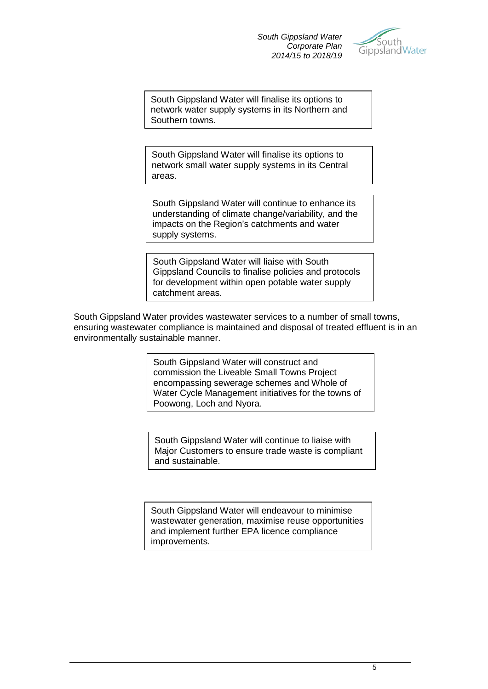

South Gippsland Water will finalise its options to network water supply systems in its Northern and Southern towns.

South Gippsland Water will finalise its options to network small water supply systems in its Central areas.

South Gippsland Water will continue to enhance its understanding of climate change/variability, and the impacts on the Region's catchments and water supply systems.

South Gippsland Water will liaise with South Gippsland Councils to finalise policies and protocols for development within open potable water supply catchment areas.

South Gippsland Water provides wastewater services to a number of small towns, ensuring wastewater compliance is maintained and disposal of treated effluent is in an environmentally sustainable manner.

> South Gippsland Water will construct and commission the Liveable Small Towns Project encompassing sewerage schemes and Whole of Water Cycle Management initiatives for the towns of Poowong, Loch and Nyora.

> South Gippsland Water will continue to liaise with Major Customers to ensure trade waste is compliant and sustainable.

South Gippsland Water will endeavour to minimise wastewater generation, maximise reuse opportunities and implement further EPA licence compliance improvements.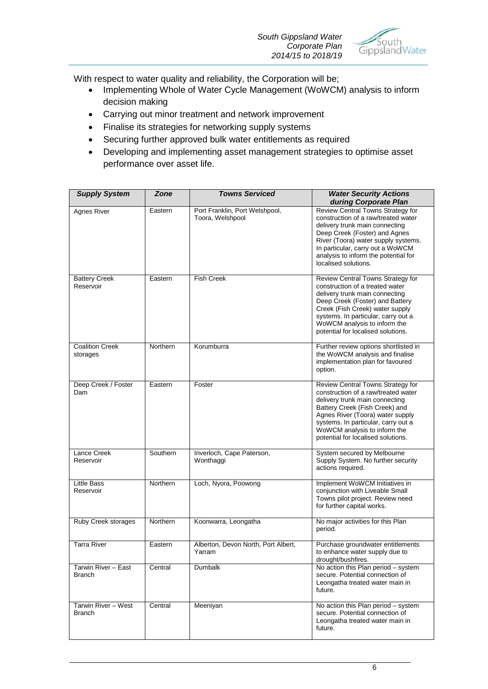

With respect to water quality and reliability, the Corporation will be;

- Implementing Whole of Water Cycle Management (WoWCM) analysis to inform decision making
- Carrying out minor treatment and network improvement
- Finalise its strategies for networking supply systems
- Securing further approved bulk water entitlements as required
- Developing and implementing asset management strategies to optimise asset performance over asset life.

| <b>Towns Serviced</b><br>Zone<br><b>Supply System</b> |                 | <b>Water Security Actions</b>                      |                                                                                                                                                                                                                                                                                               |  |
|-------------------------------------------------------|-----------------|----------------------------------------------------|-----------------------------------------------------------------------------------------------------------------------------------------------------------------------------------------------------------------------------------------------------------------------------------------------|--|
|                                                       |                 |                                                    | during Corporate Plan                                                                                                                                                                                                                                                                         |  |
| Agnes River                                           | Eastern         | Port Franklin, Port Welshpool,<br>Toora, Welshpool | Review Central Towns Strategy for<br>construction of a raw/treated water<br>delivery trunk main connecting<br>Deep Creek (Foster) and Agnes<br>River (Toora) water supply systems.<br>In particular, carry out a WoWCM<br>analysis to inform the potential for<br>localised solutions.        |  |
| <b>Battery Creek</b><br>Reservoir                     | Eastern         | <b>Fish Creek</b>                                  | Review Central Towns Strategy for<br>construction of a treated water<br>delivery trunk main connecting<br>Deep Creek (Foster) and Battery<br>Creek (Fish Creek) water supply<br>systems. In particular, carry out a<br>WoWCM analysis to inform the<br>potential for localised solutions.     |  |
| <b>Coalition Creek</b><br>storages                    | Northern        | Korumburra                                         | Further review options shortlisted in<br>the WoWCM analysis and finalise<br>implementation plan for favoured<br>option.                                                                                                                                                                       |  |
| Deep Creek / Foster<br>Dam                            | Eastern         | Foster                                             | Review Central Towns Strategy for<br>construction of a raw/treated water<br>delivery trunk main connecting<br>Battery Creek (Fish Creek) and<br>Agnes River (Toora) water supply<br>systems. In particular, carry out a<br>WoWCM analysis to inform the<br>potential for localised solutions. |  |
| Lance Creek<br>Reservoir                              | Southern        | Inverloch, Cape Paterson,<br>Wonthaggi             | System secured by Melbourne<br>Supply System. No further security<br>actions required.                                                                                                                                                                                                        |  |
| Little Bass<br>Reservoir                              | Northern        | Loch, Nyora, Poowong                               | Implement WoWCM Initiatives in<br>conjunction with Liveable Small<br>Towns pilot project. Review need<br>for further capital works.                                                                                                                                                           |  |
| Ruby Creek storages                                   | <b>Northern</b> | Koonwarra, Leongatha                               | No major activities for this Plan<br>period.                                                                                                                                                                                                                                                  |  |
| <b>Tarra River</b>                                    | Eastern         | Alberton, Devon North, Port Albert,<br>Yarram      | Purchase groundwater entitlements<br>to enhance water supply due to<br>drought/bushfires.                                                                                                                                                                                                     |  |
| Tarwin River - East<br><b>Branch</b>                  | Central         | Dumbalk                                            | No action this Plan period - system<br>secure. Potential connection of<br>Leongatha treated water main in<br>future.                                                                                                                                                                          |  |
| Tarwin River - West<br><b>Branch</b>                  | Central         | Meeniyan                                           | No action this Plan period - system<br>secure. Potential connection of<br>Leongatha treated water main in<br>future.                                                                                                                                                                          |  |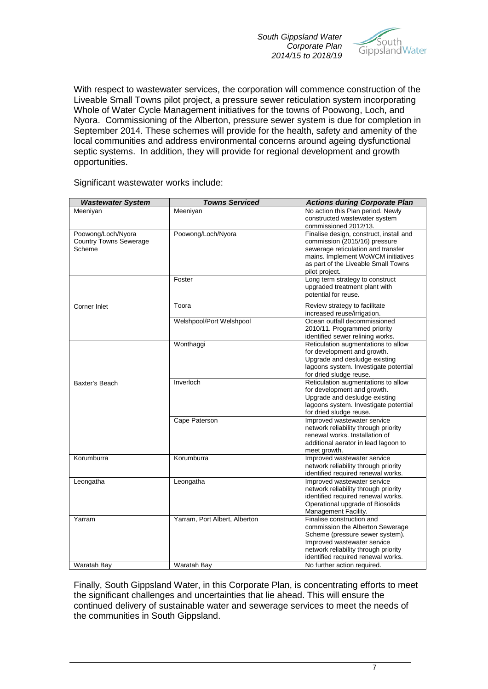*South Gippsland Water Corporate Plan 2014/15 to 2018/19*



With respect to wastewater services, the corporation will commence construction of the Liveable Small Towns pilot project, a pressure sewer reticulation system incorporating Whole of Water Cycle Management initiatives for the towns of Poowong, Loch, and Nyora. Commissioning of the Alberton, pressure sewer system is due for completion in September 2014. These schemes will provide for the health, safety and amenity of the local communities and address environmental concerns around ageing dysfunctional septic systems. In addition, they will provide for regional development and growth opportunities.

Significant wastewater works include:

| <b>Wastewater System</b>                                      | <b>Towns Serviced</b>                        | <b>Actions during Corporate Plan</b>                                                                                                                                                                                                         |
|---------------------------------------------------------------|----------------------------------------------|----------------------------------------------------------------------------------------------------------------------------------------------------------------------------------------------------------------------------------------------|
| Meeniyan                                                      | Meeniyan                                     | No action this Plan period. Newly<br>constructed wastewater system                                                                                                                                                                           |
|                                                               |                                              | commissioned 2012/13.                                                                                                                                                                                                                        |
| Poowong/Loch/Nyora<br><b>Country Towns Sewerage</b><br>Scheme | Poowong/Loch/Nyora                           | Finalise design, construct, install and<br>commission (2015/16) pressure<br>sewerage reticulation and transfer<br>mains. Implement WoWCM initiatives<br>as part of the Liveable Small Towns<br>pilot project.                                |
|                                                               | Foster                                       | Long term strategy to construct<br>upgraded treatment plant with<br>potential for reuse.                                                                                                                                                     |
| Corner Inlet                                                  | Toora                                        | Review strategy to facilitate<br>increased reuse/irrigation.                                                                                                                                                                                 |
|                                                               | Welshpool/Port Welshpool                     | Ocean outfall decommissioned<br>2010/11. Programmed priority<br>identified sewer relining works.                                                                                                                                             |
|                                                               | Wonthaggi                                    | Reticulation augmentations to allow<br>for development and growth.<br>Upgrade and desludge existing<br>lagoons system. Investigate potential<br>for dried sludge reuse.                                                                      |
| Baxter's Beach                                                | Inverloch                                    | Reticulation augmentations to allow<br>for development and growth.<br>Upgrade and desludge existing<br>lagoons system. Investigate potential<br>for dried sludge reuse.                                                                      |
|                                                               | Cape Paterson                                | Improved wastewater service<br>network reliability through priority<br>renewal works. Installation of<br>additional aerator in lead lagoon to<br>meet growth.                                                                                |
| Korumburra                                                    | Korumburra                                   | Improved wastewater service<br>network reliability through priority<br>identified required renewal works.                                                                                                                                    |
| Leongatha                                                     | Leongatha                                    | Improved wastewater service<br>network reliability through priority<br>identified required renewal works.<br>Operational upgrade of Biosolids<br>Management Facility.                                                                        |
| Yarram<br>Waratah Bav                                         | Yarram, Port Albert, Alberton<br>Waratah Bav | Finalise construction and<br>commission the Alberton Sewerage<br>Scheme (pressure sewer system).<br>Improved wastewater service<br>network reliability through priority<br>identified required renewal works.<br>No further action required. |
|                                                               |                                              |                                                                                                                                                                                                                                              |

Finally, South Gippsland Water, in this Corporate Plan, is concentrating efforts to meet the significant challenges and uncertainties that lie ahead. This will ensure the continued delivery of sustainable water and sewerage services to meet the needs of the communities in South Gippsland.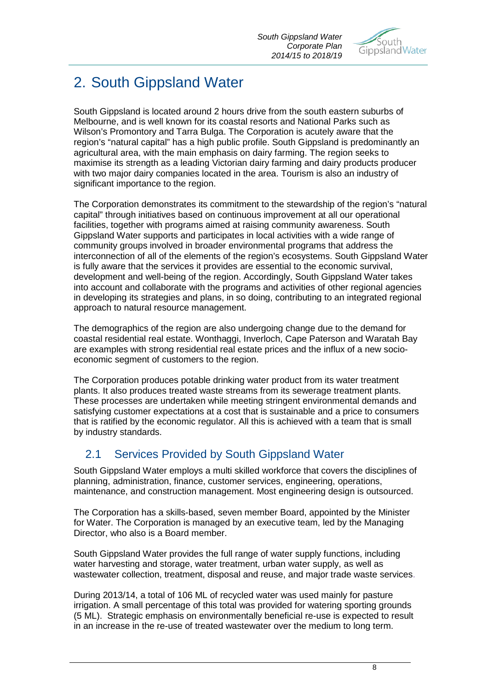

# 2. South Gippsland Water

South Gippsland is located around 2 hours drive from the south eastern suburbs of Melbourne, and is well known for its coastal resorts and National Parks such as Wilson's Promontory and Tarra Bulga. The Corporation is acutely aware that the region's "natural capital" has a high public profile. South Gippsland is predominantly an agricultural area, with the main emphasis on dairy farming. The region seeks to maximise its strength as a leading Victorian dairy farming and dairy products producer with two major dairy companies located in the area. Tourism is also an industry of significant importance to the region.

The Corporation demonstrates its commitment to the stewardship of the region's "natural capital" through initiatives based on continuous improvement at all our operational facilities, together with programs aimed at raising community awareness. South Gippsland Water supports and participates in local activities with a wide range of community groups involved in broader environmental programs that address the interconnection of all of the elements of the region's ecosystems. South Gippsland Water is fully aware that the services it provides are essential to the economic survival, development and well-being of the region. Accordingly, South Gippsland Water takes into account and collaborate with the programs and activities of other regional agencies in developing its strategies and plans, in so doing, contributing to an integrated regional approach to natural resource management.

The demographics of the region are also undergoing change due to the demand for coastal residential real estate. Wonthaggi, Inverloch, Cape Paterson and Waratah Bay are examples with strong residential real estate prices and the influx of a new socioeconomic segment of customers to the region.

The Corporation produces potable drinking water product from its water treatment plants. It also produces treated waste streams from its sewerage treatment plants. These processes are undertaken while meeting stringent environmental demands and satisfying customer expectations at a cost that is sustainable and a price to consumers that is ratified by the economic regulator. All this is achieved with a team that is small by industry standards.

## 2.1 Services Provided by South Gippsland Water

South Gippsland Water employs a multi skilled workforce that covers the disciplines of planning, administration, finance, customer services, engineering, operations, maintenance, and construction management. Most engineering design is outsourced.

The Corporation has a skills-based, seven member Board, appointed by the Minister for Water. The Corporation is managed by an executive team, led by the Managing Director, who also is a Board member.

South Gippsland Water provides the full range of water supply functions, including water harvesting and storage, water treatment, urban water supply, as well as wastewater collection, treatment, disposal and reuse, and major trade waste services.

During 2013/14, a total of 106 ML of recycled water was used mainly for pasture irrigation. A small percentage of this total was provided for watering sporting grounds (5 ML). Strategic emphasis on environmentally beneficial re-use is expected to result in an increase in the re-use of treated wastewater over the medium to long term.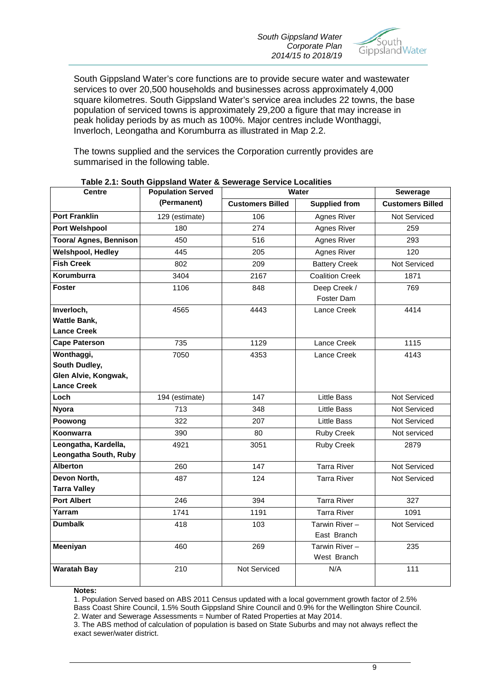*South Gippsland Water Corporate Plan 2014/15 to 2018/19*



South Gippsland Water's core functions are to provide secure water and wastewater services to over 20,500 households and businesses across approximately 4,000 square kilometres. South Gippsland Water's service area includes 22 towns, the base population of serviced towns is approximately 29,200 a figure that may increase in peak holiday periods by as much as 100%. Major centres include Wonthaggi, Inverloch, Leongatha and Korumburra as illustrated in Map 2.2.

The towns supplied and the services the Corporation currently provides are summarised in the following table.

| <b>Centre</b>                                                             | <b>Population Served</b> | Water                   |                              | Sewerage                |
|---------------------------------------------------------------------------|--------------------------|-------------------------|------------------------------|-------------------------|
|                                                                           | (Permanent)              | <b>Customers Billed</b> | <b>Supplied from</b>         | <b>Customers Billed</b> |
| <b>Port Franklin</b>                                                      | 129 (estimate)           | 106                     | Agnes River                  | <b>Not Serviced</b>     |
| <b>Port Welshpool</b>                                                     | 180                      | 274                     | Agnes River                  | 259                     |
| <b>Toora/ Agnes, Bennison</b>                                             | 450                      | 516                     | Agnes River                  | 293                     |
| <b>Welshpool, Hedley</b>                                                  | 445                      | 205                     | Agnes River                  | 120                     |
| <b>Fish Creek</b>                                                         | 802                      | 209                     | <b>Battery Creek</b>         | Not Serviced            |
| Korumburra                                                                | 3404                     | 2167                    | <b>Coalition Creek</b>       | 1871                    |
| <b>Foster</b>                                                             | 1106                     | 848                     | Deep Creek /<br>Foster Dam   | 769                     |
| Inverloch,<br><b>Wattle Bank,</b><br><b>Lance Creek</b>                   | 4565                     | 4443                    | Lance Creek                  | 4414                    |
| <b>Cape Paterson</b>                                                      | 735                      | 1129                    | Lance Creek                  | 1115                    |
| Wonthaggi,<br>South Dudley,<br>Glen Alvie, Kongwak,<br><b>Lance Creek</b> | 7050                     | 4353                    | Lance Creek                  | 4143                    |
| Loch                                                                      | 194 (estimate)           | 147                     | <b>Little Bass</b>           | Not Serviced            |
| <b>Nyora</b>                                                              | 713                      | 348                     | <b>Little Bass</b>           | Not Serviced            |
| Poowong                                                                   | 322                      | 207                     | <b>Little Bass</b>           | Not Serviced            |
| Koonwarra                                                                 | 390                      | 80                      | <b>Ruby Creek</b>            | Not serviced            |
| Leongatha, Kardella,<br>Leongatha South, Ruby                             | 4921                     | 3051                    | Ruby Creek                   | 2879                    |
| <b>Alberton</b>                                                           | 260                      | 147                     | <b>Tarra River</b>           | Not Serviced            |
| Devon North,<br><b>Tarra Valley</b>                                       | 487                      | 124                     | <b>Tarra River</b>           | <b>Not Serviced</b>     |
| <b>Port Albert</b>                                                        | 246                      | 394                     | <b>Tarra River</b>           | 327                     |
| Yarram                                                                    | 1741                     | 1191                    | <b>Tarra River</b>           | 1091                    |
| <b>Dumbalk</b>                                                            | 418                      | 103                     | Tarwin River-<br>East Branch | <b>Not Serviced</b>     |
| Meeniyan                                                                  | 460                      | 269                     | Tarwin River-<br>West Branch | 235                     |
| <b>Waratah Bay</b>                                                        | 210                      | Not Serviced            | N/A                          | 111                     |

#### **Table 2.1: South Gippsland Water & Sewerage Service Localities**

**Notes:**

1. Population Served based on ABS 2011 Census updated with a local government growth factor of 2.5%

Bass Coast Shire Council, 1.5% South Gippsland Shire Council and 0.9% for the Wellington Shire Council. 2. Water and Sewerage Assessments = Number of Rated Properties at May 2014.

3. The ABS method of calculation of population is based on State Suburbs and may not always reflect the exact sewer/water district.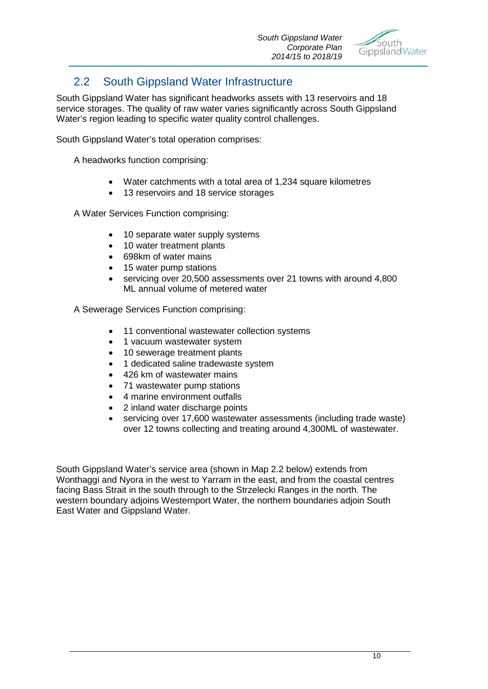

## 2.2 South Gippsland Water Infrastructure

South Gippsland Water has significant headworks assets with 13 reservoirs and 18 service storages. The quality of raw water varies significantly across South Gippsland Water's region leading to specific water quality control challenges.

South Gippsland Water's total operation comprises:

A headworks function comprising:

- Water catchments with a total area of 1,234 square kilometres
- 13 reservoirs and 18 service storages

A Water Services Function comprising:

- 10 separate water supply systems
- 10 water treatment plants
- 698km of water mains
- 15 water pump stations
- servicing over 20,500 assessments over 21 towns with around 4,800 ML annual volume of metered water

A Sewerage Services Function comprising:

- 11 conventional wastewater collection systems
- 1 vacuum wastewater system
- 10 sewerage treatment plants
- 1 dedicated saline tradewaste system
- 426 km of wastewater mains
- 71 wastewater pump stations
- 4 marine environment outfalls
- 2 inland water discharge points
- servicing over 17,600 wastewater assessments (including trade waste) over 12 towns collecting and treating around 4,300ML of wastewater.

South Gippsland Water's service area (shown in Map 2.2 below) extends from Wonthaggi and Nyora in the west to Yarram in the east, and from the coastal centres facing Bass Strait in the south through to the Strzelecki Ranges in the north. The western boundary adjoins Westernport Water, the northern boundaries adjoin South East Water and Gippsland Water.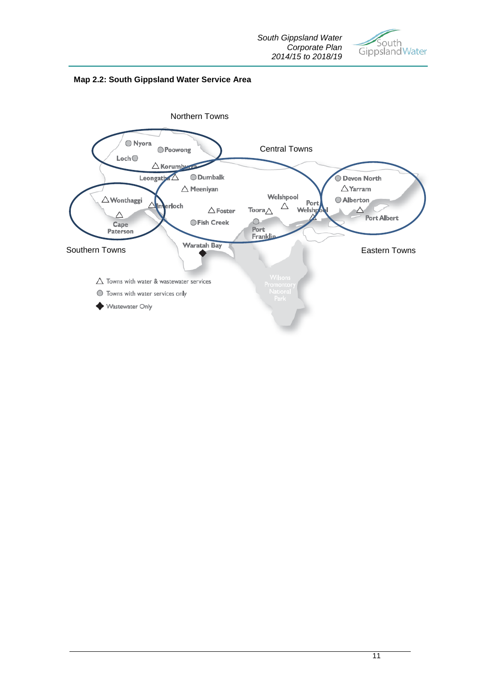



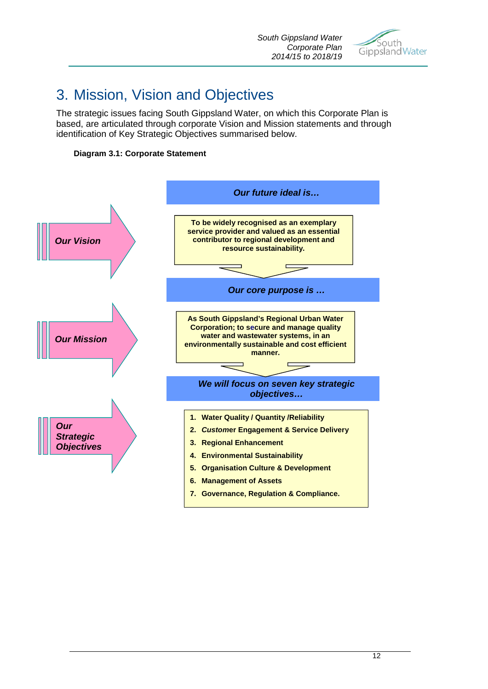

# 3. Mission, Vision and Objectives

The strategic issues facing South Gippsland Water, on which this Corporate Plan is based, are articulated through corporate Vision and Mission statements and through identification of Key Strategic Objectives summarised below.



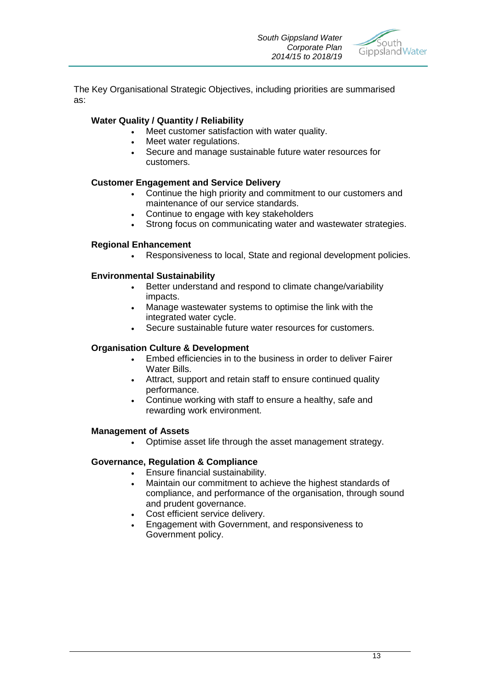

The Key Organisational Strategic Objectives, including priorities are summarised as:

#### **Water Quality / Quantity / Reliability**

- Meet customer satisfaction with water quality.
- Meet water regulations.
- Secure and manage sustainable future water resources for customers.

#### **Customer Engagement and Service Delivery**

- Continue the high priority and commitment to our customers and maintenance of our service standards.
- Continue to engage with key stakeholders
- Strong focus on communicating water and wastewater strategies.

#### **Regional Enhancement**

• Responsiveness to local, State and regional development policies.

#### **Environmental Sustainability**

- Better understand and respond to climate change/variability impacts.
- Manage wastewater systems to optimise the link with the integrated water cycle.
- Secure sustainable future water resources for customers.

#### **Organisation Culture & Development**

- Embed efficiencies in to the business in order to deliver Fairer Water Bills.
- Attract, support and retain staff to ensure continued quality performance.
- Continue working with staff to ensure a healthy, safe and rewarding work environment.

#### **Management of Assets**

• Optimise asset life through the asset management strategy.

#### **Governance, Regulation & Compliance**

- Ensure financial sustainability.
	- Maintain our commitment to achieve the highest standards of compliance, and performance of the organisation, through sound and prudent governance.
	- Cost efficient service delivery.
	- Engagement with Government, and responsiveness to Government policy.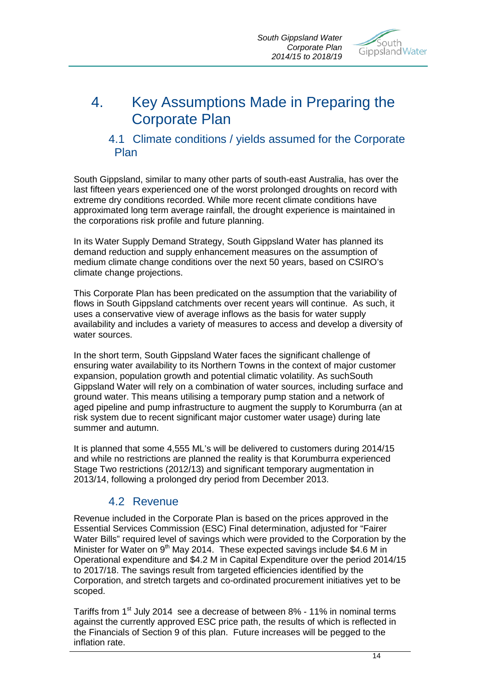*South Gippsland Water Corporate Plan 2014/15 to 2018/19*



# 4. Key Assumptions Made in Preparing the Corporate Plan

## 4.1 Climate conditions / yields assumed for the Corporate Plan

South Gippsland, similar to many other parts of south-east Australia, has over the last fifteen years experienced one of the worst prolonged droughts on record with extreme dry conditions recorded. While more recent climate conditions have approximated long term average rainfall, the drought experience is maintained in the corporations risk profile and future planning.

In its Water Supply Demand Strategy, South Gippsland Water has planned its demand reduction and supply enhancement measures on the assumption of medium climate change conditions over the next 50 years, based on CSIRO's climate change projections.

This Corporate Plan has been predicated on the assumption that the variability of flows in South Gippsland catchments over recent years will continue. As such, it uses a conservative view of average inflows as the basis for water supply availability and includes a variety of measures to access and develop a diversity of water sources.

In the short term, South Gippsland Water faces the significant challenge of ensuring water availability to its Northern Towns in the context of major customer expansion, population growth and potential climatic volatility. As suchSouth Gippsland Water will rely on a combination of water sources, including surface and ground water. This means utilising a temporary pump station and a network of aged pipeline and pump infrastructure to augment the supply to Korumburra (an at risk system due to recent significant major customer water usage) during late summer and autumn.

It is planned that some 4,555 ML's will be delivered to customers during 2014/15 and while no restrictions are planned the reality is that Korumburra experienced Stage Two restrictions (2012/13) and significant temporary augmentation in 2013/14, following a prolonged dry period from December 2013.

## 4.2 Revenue

Revenue included in the Corporate Plan is based on the prices approved in the Essential Services Commission (ESC) Final determination, adjusted for "Fairer Water Bills" required level of savings which were provided to the Corporation by the Minister for Water on 9<sup>th</sup> May 2014. These expected savings include \$4.6 M in Operational expenditure and \$4.2 M in Capital Expenditure over the period 2014/15 to 2017/18. The savings result from targeted efficiencies identified by the Corporation, and stretch targets and co-ordinated procurement initiatives yet to be scoped.

Tariffs from 1<sup>st</sup> July 2014 see a decrease of between 8% - 11% in nominal terms against the currently approved ESC price path, the results of which is reflected in the Financials of Section 9 of this plan. Future increases will be pegged to the inflation rate.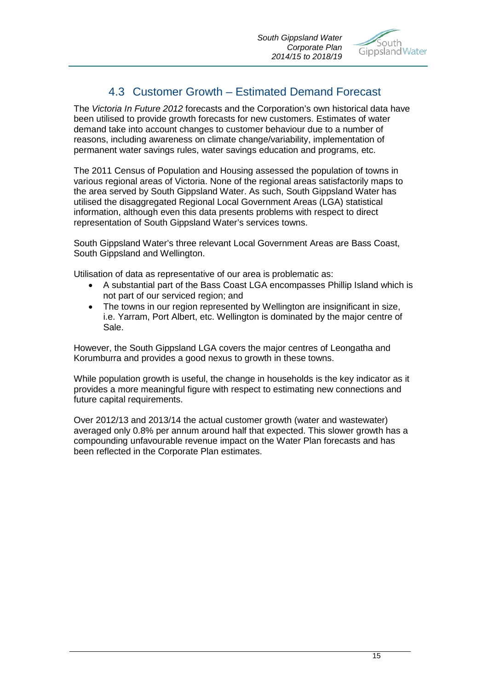

## 4.3 Customer Growth – Estimated Demand Forecast

The *Victoria In Future 2012* forecasts and the Corporation's own historical data have been utilised to provide growth forecasts for new customers. Estimates of water demand take into account changes to customer behaviour due to a number of reasons, including awareness on climate change/variability, implementation of permanent water savings rules, water savings education and programs, etc.

The 2011 Census of Population and Housing assessed the population of towns in various regional areas of Victoria. None of the regional areas satisfactorily maps to the area served by South Gippsland Water. As such, South Gippsland Water has utilised the disaggregated Regional Local Government Areas (LGA) statistical information, although even this data presents problems with respect to direct representation of South Gippsland Water's services towns.

South Gippsland Water's three relevant Local Government Areas are Bass Coast, South Gippsland and Wellington.

Utilisation of data as representative of our area is problematic as:

- A substantial part of the Bass Coast LGA encompasses Phillip Island which is not part of our serviced region; and
- The towns in our region represented by Wellington are insignificant in size, i.e. Yarram, Port Albert, etc. Wellington is dominated by the major centre of Sale.

However, the South Gippsland LGA covers the major centres of Leongatha and Korumburra and provides a good nexus to growth in these towns.

While population growth is useful, the change in households is the key indicator as it provides a more meaningful figure with respect to estimating new connections and future capital requirements.

Over 2012/13 and 2013/14 the actual customer growth (water and wastewater) averaged only 0.8% per annum around half that expected. This slower growth has a compounding unfavourable revenue impact on the Water Plan forecasts and has been reflected in the Corporate Plan estimates.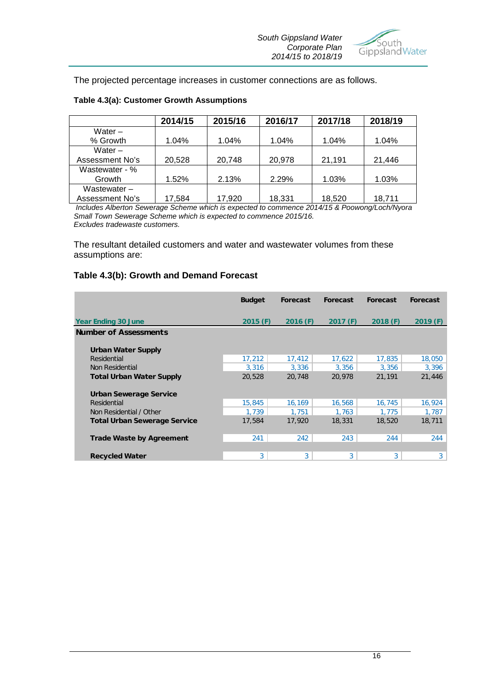

The projected percentage increases in customer connections are as follows.

|                 | 2014/15 | 2015/16 | 2016/17 | 2017/18 | 2018/19 |
|-----------------|---------|---------|---------|---------|---------|
| Water $-$       |         |         |         |         |         |
| % Growth        | 1.04%   | 1.04%   | 1.04%   | 1.04%   | 1.04%   |
| Water $-$       |         |         |         |         |         |
| Assessment No's | 20,528  | 20,748  | 20,978  | 21,191  | 21,446  |
| Wastewater - %  |         |         |         |         |         |
| Growth          | 1.52%   | 2.13%   | 2.29%   | 1.03%   | 1.03%   |
| Wastewater $-$  |         |         |         |         |         |
| Assessment No's | 17,584  | 17,920  | 18,331  | 18,520  | 18,711  |

#### **Table 4.3(a): Customer Growth Assumptions**

*Includes Alberton Sewerage Scheme which is expected to commence 2014/15 & Poowong/Loch/Nyora Small Town Sewerage Scheme which is expected to commence 2015/16. Excludes tradewaste customers.*

The resultant detailed customers and water and wastewater volumes from these assumptions are:

#### **Table 4.3(b): Growth and Demand Forecast**

|                                     | <b>Budget</b> | <b>Forecast</b> | Forecast | <b>Forecast</b> | <b>Forecast</b> |
|-------------------------------------|---------------|-----------------|----------|-----------------|-----------------|
| <b>Year Ending 30 June</b>          | $2015$ (F)    | $2016$ (F)      | 2017(F)  | 2018(F)         | 2019(F)         |
| <b>Number of Assessments</b>        |               |                 |          |                 |                 |
| <b>Urban Water Supply</b>           |               |                 |          |                 |                 |
| Residential                         | 17,212        | 17,412          | 17,622   | 17,835          | 18,050          |
| Non Residential                     | 3,316         | 3,336           | 3,356    | 3,356           | 3,396           |
| <b>Total Urban Water Supply</b>     | 20,528        | 20,748          | 20,978   | 21,191          | 21,446          |
| Urban Sewerage Service              |               |                 |          |                 |                 |
| Residential                         | 15,845        | 16,169          | 16,568   | 16,745          | 16,924          |
| Non Residential / Other             | 1,739         | 1,751           | 1.763    | 1,775           | 1,787           |
| <b>Total Urban Sewerage Service</b> | 17,584        | 17,920          | 18,331   | 18,520          | 18,711          |
| <b>Trade Waste by Agreement</b>     | 241           | 242             | 243      | 244             | 244             |
|                                     |               |                 |          |                 |                 |
| <b>Recycled Water</b>               | 3             | 3               | 3        | 3               | 3 <sup>1</sup>  |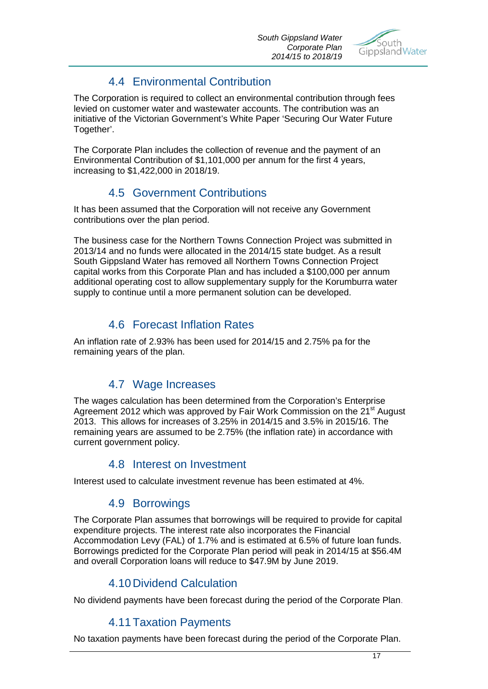

## 4.4 Environmental Contribution

The Corporation is required to collect an environmental contribution through fees levied on customer water and wastewater accounts. The contribution was an initiative of the Victorian Government's White Paper 'Securing Our Water Future Together'.

The Corporate Plan includes the collection of revenue and the payment of an Environmental Contribution of \$1,101,000 per annum for the first 4 years, increasing to \$1,422,000 in 2018/19.

## 4.5 Government Contributions

It has been assumed that the Corporation will not receive any Government contributions over the plan period.

The business case for the Northern Towns Connection Project was submitted in 2013/14 and no funds were allocated in the 2014/15 state budget. As a result South Gippsland Water has removed all Northern Towns Connection Project capital works from this Corporate Plan and has included a \$100,000 per annum additional operating cost to allow supplementary supply for the Korumburra water supply to continue until a more permanent solution can be developed.

## 4.6 Forecast Inflation Rates

An inflation rate of 2.93% has been used for 2014/15 and 2.75% pa for the remaining years of the plan.

## 4.7 Wage Increases

The wages calculation has been determined from the Corporation's Enterprise Agreement 2012 which was approved by Fair Work Commission on the 21<sup>st</sup> August 2013. This allows for increases of 3.25% in 2014/15 and 3.5% in 2015/16. The remaining years are assumed to be 2.75% (the inflation rate) in accordance with current government policy.

## 4.8 Interest on Investment

Interest used to calculate investment revenue has been estimated at 4%.

## 4.9 Borrowings

The Corporate Plan assumes that borrowings will be required to provide for capital expenditure projects. The interest rate also incorporates the Financial Accommodation Levy (FAL) of 1.7% and is estimated at 6.5% of future loan funds. Borrowings predicted for the Corporate Plan period will peak in 2014/15 at \$56.4M and overall Corporation loans will reduce to \$47.9M by June 2019.

## 4.10Dividend Calculation

No dividend payments have been forecast during the period of the Corporate Plan.

## 4.11Taxation Payments

No taxation payments have been forecast during the period of the Corporate Plan.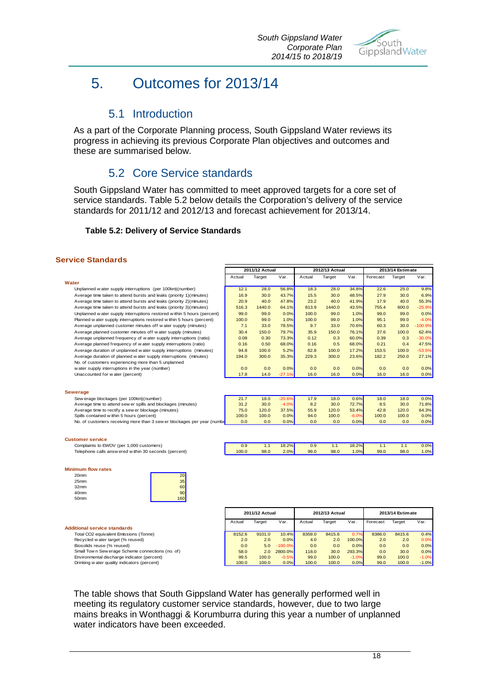

# 5. Outcomes for 2013/14

## 5.1 Introduction

As a part of the Corporate Planning process, South Gippsland Water reviews its progress in achieving its previous Corporate Plan objectives and outcomes and these are summarised below.

## 5.2 Core Service standards

South Gippsland Water has committed to meet approved targets for a core set of service standards. Table 5.2 below details the Corporation's delivery of the service standards for 2011/12 and 2012/13 and forecast achievement for 2013/14.

#### **Table 5.2: Delivery of Service Standards**

#### **Service Standards**

|                                                                          | 2011/12 Actual |        | 2012/13 Actual |        |        | 2013/14 Estimate |          |        |           |
|--------------------------------------------------------------------------|----------------|--------|----------------|--------|--------|------------------|----------|--------|-----------|
|                                                                          | Actual         | Target | Var.           | Actual | Target | Var.             | Forecast | Target | Var.      |
| Water                                                                    |                |        |                |        |        |                  |          |        |           |
| Unplanned w ater supply interruptions (per 100km)(number)                | 12.1           | 28.0   | 56.8%          | 18.3   | 28.0   | 34.8%            | 22.6     | 25.0   | 9.8%      |
| Average time taken to attend bursts and leaks (priority 1)(minutes)      | 16.9           | 30.0   | 43.7%          | 15.5   | 30.0   | 48.5%            | 27.9     | 30.0   | 6.9%      |
| Average time taken to attend bursts and leaks (priority 2)(minutes)      | 20.9           | 40.0   | 47.8%          | 23.2   | 40.0   | 41.9%            | 17.9     | 40.0   | 55.3%     |
| Average time taken to attend bursts and leaks (priority 3)(minutes)      | 516.3          | 1440.0 | 64.1%          | 813.9  | 1440.0 | 43.5%            | 755.4    | 600.0  | $-25.9%$  |
| Unplanned w ater supply interruptions restored w ithin 5 hours (percent) | 99.0           | 99.0   | 0.0%           | 100.0  | 99.0   | 1.0%             | 99.0     | 99.0   | 0.0%      |
| Planned w ater supply interruptions restored within 5 hours (percent)    | 100.0          | 99.0   | 1.0%           | 100.0  | 99.0   | 1.0%             | 95.1     | 99.0   | $-4.0%$   |
| Average unplanned customer minutes off water supply (minutes)            | 7.1            | 33.0   | 78.5%          | 9.7    | 33.0   | 70.6%            | 60.3     | 30.0   | $-100.9%$ |
| Average planned customer minutes off water supply (minutes)              | 30.4           | 150.0  | 79.7%          | 35.9   | 150.0  | 76.1%            | 37.6     | 100.0  | 62.4%     |
| Average unplanned frequency of water supply interruptions (ratio)        | 0.08           | 0.30   | 73.3%          | 0.12   | 0.3    | 60.0%            | 0.39     | 0.3    | $-30.0%$  |
| Average planned frequency of water supply interruptions (ratio)          | 0.16           | 0.50   | 68.0%          | 0.16   | 0.5    | 68.0%            | 0.21     | 0.4    | 47.5%     |
| Average duration of unplanned water supply interruptions (minutes)       | 94.8           | 100.0  | 5.2%           | 82.8   | 100.0  | 17.2%            | 153.5    | 100.0  | $-53.5%$  |
| Average duration of planned w ater supply interruptions (minutes)        | 194.0          | 300.0  | 35.3%          | 229.3  | 300.0  | 23.6%            | 182.2    | 250.0  | 27.1%     |
| No. of customers experiencing more than 5 unplanned                      |                |        |                |        |        |                  |          |        |           |
| water supply interruptions in the year (number)                          | 0.0            | 0.0    | 0.0%           | 0.0    | 0.0    | 0.0%             | 0.0      | 0.0    | 0.0%      |
| Unaccounted for water (percent)                                          | 17.8           | 14.0   | $-27.1%$       | 16.0   | 16.0   | 0.0%             | 16.0     | 16.0   | 0.0%      |
|                                                                          |                |        |                |        |        |                  |          |        |           |
|                                                                          |                |        |                |        |        |                  |          |        |           |
| <b>Sewerage</b>                                                          |                |        |                |        |        |                  |          |        |           |
| Sew erage blockages (per 100km)(number)                                  | 21.7           | 18.0   | $-20.6%$       | 17.9   | 18.0   | 0.6%             | 18.0     | 18.0   | 0.0%      |
| Average time to attend sew er spills and blockages (minutes)             | 31.2           | 30.0   | $-4.0%$        | 8.2    | 30.0   | 72.7%            | 8.5      | 30.0   | 71.8%     |
| Average time to rectify a sew er blockage (minutes)                      | 75.0           | 120.0  | 37.5%          | 55.9   | 120.0  | 53.4%            | 42.8     | 120.0  | 64.3%     |
| Spills contained within 5 hours (percent)                                | 100.0          | 100.0  | 0.0%           | 94.0   | 100.0  | $-6.0%$          | 100.0    | 100.0  | 0.0%      |
| No. of customers receiving more than 3 sew er blockages per year (numbe  | 0.0            | 0.0    | 0.0%           | 0.0    | 0.0    | 0.0%             | 0.0      | 0.0    | 0.0%      |
|                                                                          |                |        |                |        |        |                  |          |        |           |
|                                                                          |                |        |                |        |        |                  |          |        |           |
| <b>Customer service</b>                                                  |                |        |                |        |        |                  |          |        |           |
| Complaints to EWOV (per 1,000 customers)                                 | 0.9            | 1.1    | 18.2%          | 0.9    | 1.1    | 18.2%            | 1.1      | 1.1    | 0.0%      |
| Telephone calls answ ered within 30 seconds (percent)                    | 100.0          | 98.0   | 2.0%           | 99.0   | 98.0   | 1.0%             | 99.0     | 98.0   | 1.0%      |
|                                                                          |                |        |                |        |        |                  |          |        |           |

#### **Minimum flow rates**

| 20 <sub>mm</sub> |  |
|------------------|--|
| 25 <sub>mm</sub> |  |
| 32 <sub>mm</sub> |  |
| 40 <sub>mm</sub> |  |
| 50 <sub>mm</sub> |  |



#### **Additional service standards**

Total CO2 equivalent Emissions (Tonne) Recycled w ater target (% reused) Biosolids reuse (% reused) Small Tow n Sew erage Scheme connections (no. of) Environmental discharge indicator (percent) Drinking w ater quality indicators (percent)

| <b>2011/12 Actual</b> |        |           | 2012/13 Actual |        |         | 2013/14 Estimate |        |         |
|-----------------------|--------|-----------|----------------|--------|---------|------------------|--------|---------|
| Actual                | Target | Var.      | Actual         | Target | Var.    | Forecast         | Target | Var.    |
| 8152.6                | 9101.0 | 10.4%     | 8359.0         | 8415.6 | 0.7%    | 8386.0           | 8415.6 | 0.4%    |
| 2.0                   | 2.0    | 0.0%      | 4.0            | 2.0    | 100.0%  | 2.0              | 2.0    | 0.0%    |
| 0.0                   | 5.0    | $-100.0%$ | 0.0            | 0.0    | 0.0%    | 0.0              | 0.0    | 0.0%    |
| 58.0                  | 2.0    | 2800.0%   | 118.0          | 30.0   | 293.3%  | 0.0              | 30.0   | 0.0%    |
| 99.5                  | 100.0  | $-0.5%$   | 99.0           | 100.0  | $-1.0%$ | 99.0             | 100.0  | $-1.0%$ |
| 100.0                 | 100.0  | 0.0%      | 100.0          | 100.0  | 0.0%    | 99.0             | 100.0  | $-1.0%$ |

The table shows that South Gippsland Water has generally performed well in meeting its regulatory customer service standards, however, due to two large mains breaks in Wonthaggi & Korumburra during this year a number of unplanned water indicators have been exceeded.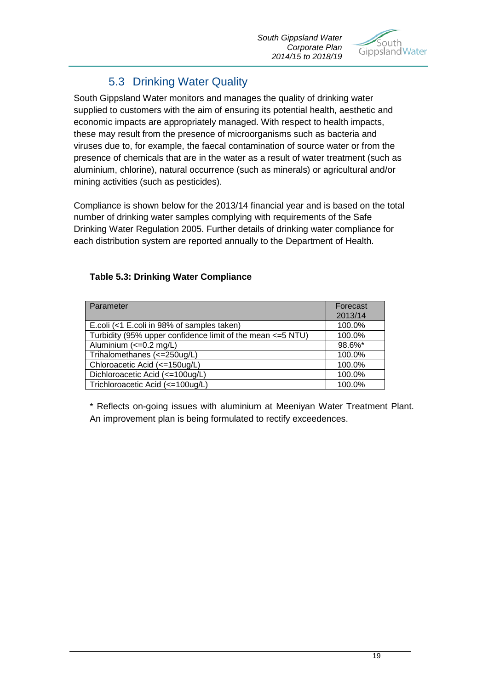

## 5.3 Drinking Water Quality

South Gippsland Water monitors and manages the quality of drinking water supplied to customers with the aim of ensuring its potential health, aesthetic and economic impacts are appropriately managed. With respect to health impacts, these may result from the presence of microorganisms such as bacteria and viruses due to, for example, the faecal contamination of source water or from the presence of chemicals that are in the water as a result of water treatment (such as aluminium, chlorine), natural occurrence (such as minerals) or agricultural and/or mining activities (such as pesticides).

Compliance is shown below for the 2013/14 financial year and is based on the total number of drinking water samples complying with requirements of the Safe Drinking Water Regulation 2005. Further details of drinking water compliance for each distribution system are reported annually to the Department of Health.

### **Table 5.3: Drinking Water Compliance**

| Parameter                                                   | Forecast |
|-------------------------------------------------------------|----------|
|                                                             | 2013/14  |
| E.coli (<1 E.coli in 98% of samples taken)                  | 100.0%   |
| Turbidity (95% upper confidence limit of the mean <= 5 NTU) | 100.0%   |
| Aluminium (<= 0.2 mg/L)                                     | 98.6%*   |
| Trihalomethanes (<=250ug/L)                                 | 100.0%   |
| Chloroacetic Acid (<=150ug/L)                               | 100.0%   |
| Dichloroacetic Acid (<=100ug/L)                             | 100.0%   |
| Trichloroacetic Acid (<=100ug/L)                            | 100.0%   |

\* Reflects on-going issues with aluminium at Meeniyan Water Treatment Plant. An improvement plan is being formulated to rectify exceedences.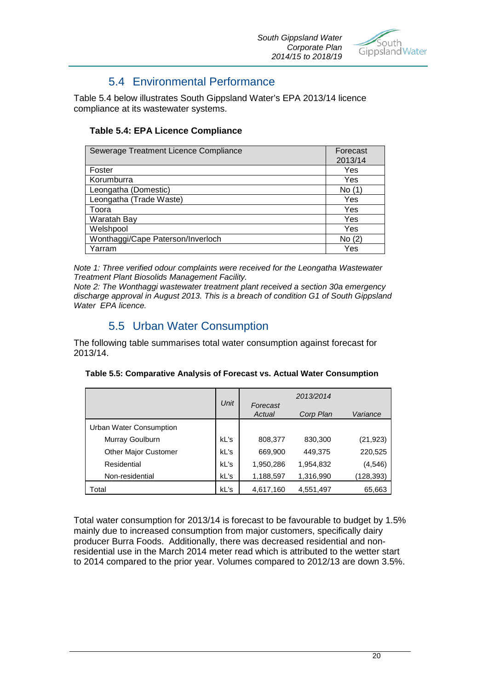

## 5.4 Environmental Performance

Table 5.4 below illustrates South Gippsland Water's EPA 2013/14 licence compliance at its wastewater systems.

### **Table 5.4: EPA Licence Compliance**

| Sewerage Treatment Licence Compliance | Forecast |
|---------------------------------------|----------|
|                                       | 2013/14  |
| Foster                                | Yes      |
| Korumburra                            | Yes      |
| Leongatha (Domestic)                  | No (1)   |
| Leongatha (Trade Waste)               | Yes      |
| Toora                                 | Yes      |
| Waratah Bay                           | Yes      |
| Welshpool                             | Yes      |
| Wonthaggi/Cape Paterson/Inverloch     | No (2)   |
| Yarram                                | Yes      |

*Note 1: Three verified odour complaints were received for the Leongatha Wastewater Treatment Plant Biosolids Management Facility.*

*Note 2: The Wonthaggi wastewater treatment plant received a section 30a emergency discharge approval in August 2013. This is a breach of condition G1 of South Gippsland Water EPA licence.*

## 5.5 Urban Water Consumption

The following table summarises total water consumption against forecast for 2013/14.

| Table 5.5: Comparative Analysis of Forecast vs. Actual Water Consumption |  |  |  |  |
|--------------------------------------------------------------------------|--|--|--|--|
|--------------------------------------------------------------------------|--|--|--|--|

|                             |      |                    | 2013/2014 |            |
|-----------------------------|------|--------------------|-----------|------------|
|                             | Unit | Forecast<br>Actual | Corp Plan | Variance   |
| Urban Water Consumption     |      |                    |           |            |
| Murray Goulburn             | kL's | 808,377            | 830,300   | (21, 923)  |
| <b>Other Major Customer</b> | kL's | 669,900            | 449,375   | 220,525    |
| Residential                 | kL's | 1,950,286          | 1,954,832 | (4, 546)   |
| Non-residential             | kL's | 1,188,597          | 1,316,990 | (128, 393) |
| Total                       | kL's | 4,617,160          | 4,551,497 | 65,663     |

Total water consumption for 2013/14 is forecast to be favourable to budget by 1.5% mainly due to increased consumption from major customers, specifically dairy producer Burra Foods. Additionally, there was decreased residential and nonresidential use in the March 2014 meter read which is attributed to the wetter start to 2014 compared to the prior year. Volumes compared to 2012/13 are down 3.5%.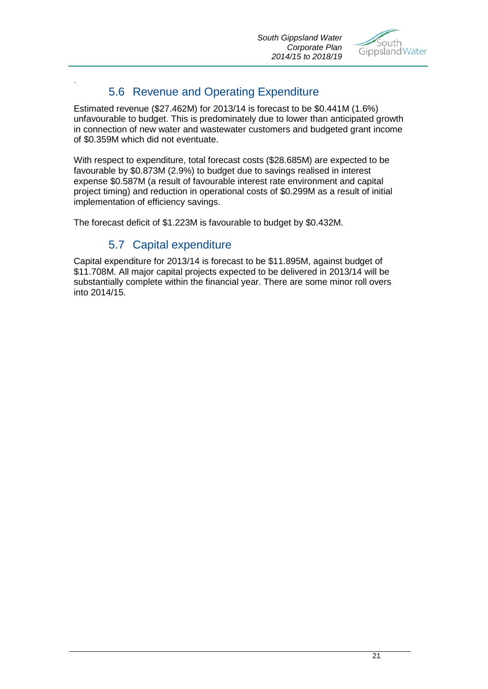

## 5.6 Revenue and Operating Expenditure

Estimated revenue (\$27.462M) for 2013/14 is forecast to be \$0.441M (1.6%) unfavourable to budget. This is predominately due to lower than anticipated growth in connection of new water and wastewater customers and budgeted grant income of \$0.359M which did not eventuate.

With respect to expenditure, total forecast costs (\$28.685M) are expected to be favourable by \$0.873M (2.9%) to budget due to savings realised in interest expense \$0.587M (a result of favourable interest rate environment and capital project timing) and reduction in operational costs of \$0.299M as a result of initial implementation of efficiency savings.

The forecast deficit of \$1.223M is favourable to budget by \$0.432M.

## 5.7 Capital expenditure

.

Capital expenditure for 2013/14 is forecast to be \$11.895M, against budget of \$11.708M. All major capital projects expected to be delivered in 2013/14 will be substantially complete within the financial year. There are some minor roll overs into 2014/15.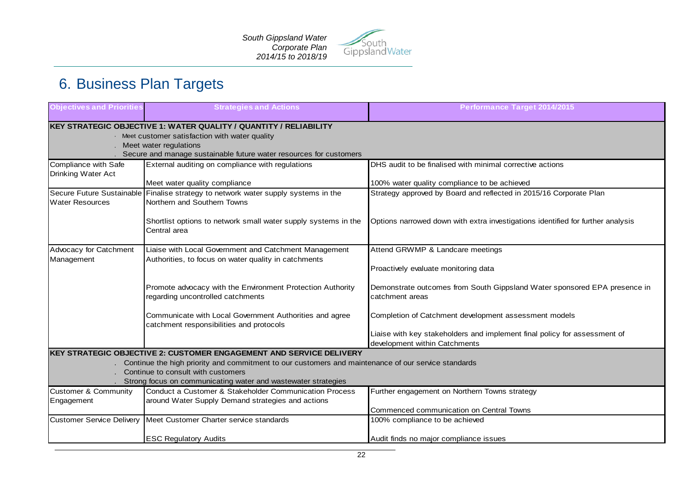

# 6. Business Plan Targets

| <b>Objectives and Priorities</b>           | <b>Strategies and Actions</b>                                                                                     | <b>Performance Target 2014/2015</b>                                                                        |
|--------------------------------------------|-------------------------------------------------------------------------------------------------------------------|------------------------------------------------------------------------------------------------------------|
|                                            | KEY STRATEGIC OBJECTIVE 1: WATER QUALITY / QUANTITY / RELIABILITY                                                 |                                                                                                            |
|                                            | · Meet customer satisfaction with water quality                                                                   |                                                                                                            |
|                                            | Meet water regulations                                                                                            |                                                                                                            |
|                                            | Secure and manage sustainable future water resources for customers                                                |                                                                                                            |
| Compliance with Safe<br>Drinking Water Act | External auditing on compliance with regulations                                                                  | DHS audit to be finalised with minimal corrective actions                                                  |
|                                            | Meet water quality compliance                                                                                     | 100% water quality compliance to be achieved                                                               |
| <b>Water Resources</b>                     | Secure Future Sustainable Finalise strategy to network water supply systems in the<br>Northern and Southern Towns | Strategy approved by Board and reflected in 2015/16 Corporate Plan                                         |
|                                            | Shortlist options to network small water supply systems in the<br>Central area                                    | Options narrowed down with extra investigations identified for further analysis                            |
| Advocacy for Catchment                     | Liaise with Local Government and Catchment Management                                                             | Attend GRWMP & Landcare meetings                                                                           |
| Management                                 | Authorities, to focus on water quality in catchments                                                              | Proactively evaluate monitoring data                                                                       |
|                                            | Promote advocacy with the Environment Protection Authority<br>regarding uncontrolled catchments                   | Demonstrate outcomes from South Gippsland Water sponsored EPA presence in<br>catchment areas               |
|                                            | Communicate with Local Government Authorities and agree<br>catchment responsibilities and protocols               | Completion of Catchment development assessment models                                                      |
|                                            |                                                                                                                   | Liaise with key stakeholders and implement final policy for assessment of<br>development within Catchments |
|                                            | <b>KEY STRATEGIC OBJECTIVE 2: CUSTOMER ENGAGEMENT AND SERVICE DELIVERY</b>                                        |                                                                                                            |
|                                            | Continue the high priority and commitment to our customers and maintenance of our service standards               |                                                                                                            |
|                                            | Continue to consult with customers                                                                                |                                                                                                            |
|                                            | Strong focus on communicating water and wastewater strategies                                                     |                                                                                                            |
| <b>Customer &amp; Community</b>            | Conduct a Customer & Stakeholder Communication Process                                                            | Further engagement on Northern Towns strategy                                                              |
| Engagement                                 | around Water Supply Demand strategies and actions                                                                 |                                                                                                            |
|                                            | Customer Service Delivery Meet Customer Charter service standards                                                 | Commenced communication on Central Towns<br>100% compliance to be achieved                                 |
|                                            |                                                                                                                   |                                                                                                            |
|                                            | <b>ESC Regulatory Audits</b>                                                                                      | Audit finds no major compliance issues                                                                     |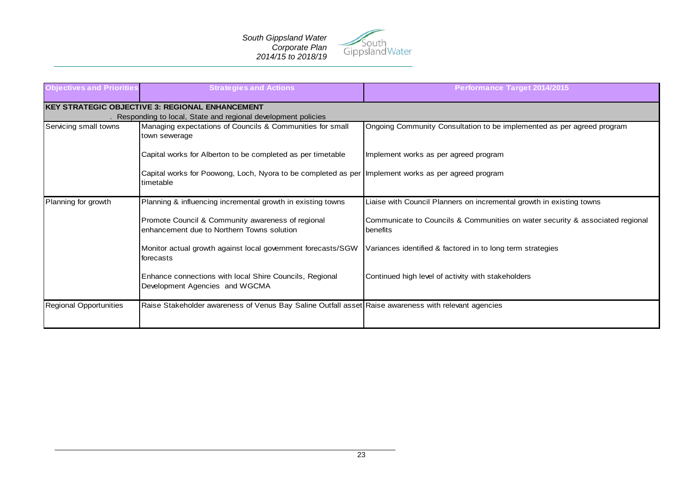

| <b>Objectives and Priorities</b> | <b>Strategies and Actions</b>                                                                                          | <b>Performance Target 2014/2015</b>                                                       |
|----------------------------------|------------------------------------------------------------------------------------------------------------------------|-------------------------------------------------------------------------------------------|
|                                  | <b>KEY STRATEGIC OBJECTIVE 3: REGIONAL ENHANCEMENT</b><br>Responding to local, State and regional development policies |                                                                                           |
| Servicing small towns            | Managing expectations of Councils & Communities for small<br>town sewerage                                             | Ongoing Community Consultation to be implemented as per agreed program                    |
|                                  | Capital works for Alberton to be completed as per timetable                                                            | Implement works as per agreed program                                                     |
|                                  | Capital works for Poowong, Loch, Nyora to be completed as per Implement works as per agreed program<br>timetable       |                                                                                           |
| Planning for growth              | Planning & influencing incremental growth in existing towns                                                            | Liaise with Council Planners on incremental growth in existing towns                      |
|                                  | Promote Council & Community awareness of regional<br>enhancement due to Northern Towns solution                        | Communicate to Councils & Communities on water security & associated regional<br>benefits |
|                                  | Monitor actual growth against local government forecasts/SGW<br>forecasts                                              | Variances identified & factored in to long term strategies                                |
|                                  | Enhance connections with local Shire Councils, Regional<br>Development Agencies and WGCMA                              | Continued high level of activity with stakeholders                                        |
| Regional Opportunities           | Raise Stakeholder awareness of Venus Bay Saline Outfall asset Raise awareness with relevant agencies                   |                                                                                           |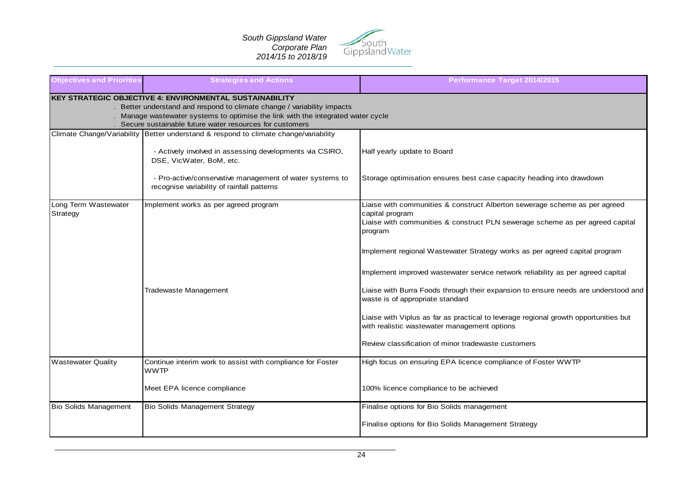

| <b>Objectives and Priorities</b> | <b>Strategies and Actions</b>                                                                                                                                                                                                                                                            | Performance Target 2014/2015                                                                                                                                                                                                                                                                                                                                                                                                                                                                                                                                                                                                                                                        |
|----------------------------------|------------------------------------------------------------------------------------------------------------------------------------------------------------------------------------------------------------------------------------------------------------------------------------------|-------------------------------------------------------------------------------------------------------------------------------------------------------------------------------------------------------------------------------------------------------------------------------------------------------------------------------------------------------------------------------------------------------------------------------------------------------------------------------------------------------------------------------------------------------------------------------------------------------------------------------------------------------------------------------------|
|                                  | <b>KEY STRATEGIC OBJECTIVE 4: ENVIRONMENTAL SUSTAINABILITY</b><br>. Better understand and respond to climate change / variability impacts<br>. Manage wastewater systems to optimise the link with the integrated water cycle<br>Secure sustainable future water resources for customers |                                                                                                                                                                                                                                                                                                                                                                                                                                                                                                                                                                                                                                                                                     |
|                                  | Climate Change/Variability Better understand & respond to climate change/variability<br>- Actively involved in assessing developments via CSIRO,<br>DSE, VicWater, BoM, etc.<br>- Pro-active/conservative management of water systems to<br>recognise variability of rainfall patterns   | Half yearly update to Board<br>Storage optimisation ensures best case capacity heading into drawdown                                                                                                                                                                                                                                                                                                                                                                                                                                                                                                                                                                                |
| Long Term Wastewater<br>Strategy | Implement works as per agreed program<br>Tradewaste Management                                                                                                                                                                                                                           | Liaise with communities & construct Alberton sewerage scheme as per agreed<br>capital program<br>Liaise with communities & construct PLN sewerage scheme as per agreed capital<br>program<br>Implement regional Wastewater Strategy works as per agreed capital program<br>Implement improved wastewater service network reliability as per agreed capital<br>Liaise with Burra Foods through their expansion to ensure needs are understood and<br>waste is of appropriate standard<br>Liaise with Viplus as far as practical to leverage regional growth opportunities but<br>with realistic wastewater management options<br>Review classification of minor tradewaste customers |
| <b>Wastewater Quality</b>        | Continue interim work to assist with compliance for Foster<br>WWTP<br>Meet EPA licence compliance                                                                                                                                                                                        | High focus on ensuring EPA licence compliance of Foster WWTP<br>100% licence compliance to be achieved                                                                                                                                                                                                                                                                                                                                                                                                                                                                                                                                                                              |
| Bio Solids Management            | <b>Bio Solids Management Strategy</b>                                                                                                                                                                                                                                                    | Finalise options for Bio Solids management<br>Finalise options for Bio Solids Management Strategy                                                                                                                                                                                                                                                                                                                                                                                                                                                                                                                                                                                   |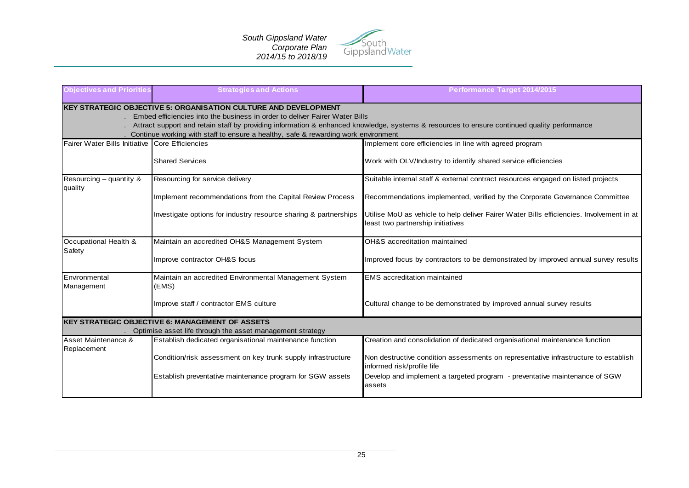

| <b>Objectives and Priorities</b>                | <b>Strategies and Actions</b>                                                                                                                  | Performance Target 2014/2015                                                                                                                |
|-------------------------------------------------|------------------------------------------------------------------------------------------------------------------------------------------------|---------------------------------------------------------------------------------------------------------------------------------------------|
|                                                 | KEY STRATEGIC OBJECTIVE 5: ORGANISATION CULTURE AND DEVELOPMENT<br>Embed efficiencies into the business in order to deliver Fairer Water Bills | Attract support and retain staff by providing information & enhanced knowledge, systems & resources to ensure continued quality performance |
|                                                 | Continue working with staff to ensure a healthy, safe & rewarding work environment                                                             |                                                                                                                                             |
| Fairer Water Bills Initiative Core Efficiencies |                                                                                                                                                | Implement core efficiencies in line with agreed program                                                                                     |
|                                                 | <b>Shared Services</b>                                                                                                                         | Work with OLV/Industry to identify shared service efficiencies                                                                              |
| Resourcing $-$ quantity &<br>quality            | Resourcing for service delivery                                                                                                                | Suitable internal staff & external contract resources engaged on listed projects                                                            |
|                                                 | Implement recommendations from the Capital Review Process                                                                                      | Recommendations implemented, verified by the Corporate Governance Committee                                                                 |
|                                                 | Investigate options for industry resource sharing & partnerships                                                                               | Utilise MoU as vehicle to help deliver Fairer Water Bills efficiencies. Involvement in at<br>least two partnership initiatives              |
| Occupational Health &<br>Safety                 | Maintain an accredited OH&S Management System                                                                                                  | OH&S accreditation maintained                                                                                                               |
|                                                 | Improve contractor OH&S focus                                                                                                                  | Improved focus by contractors to be demonstrated by improved annual survey results                                                          |
| Environmental<br>Management                     | Maintain an accredited Environmental Management System<br>(EMS)                                                                                | <b>EMS</b> accreditation maintained                                                                                                         |
|                                                 | Improve staff / contractor EMS culture                                                                                                         | Cultural change to be demonstrated by improved annual survey results                                                                        |
|                                                 | <b>KEY STRATEGIC OBJECTIVE 6: MANAGEMENT OF ASSETS</b><br>Optimise asset life through the asset management strategy                            |                                                                                                                                             |
| Asset Maintenance &<br>Replacement              | Establish dedicated organisational maintenance function                                                                                        | Creation and consolidation of dedicated organisational maintenance function                                                                 |
|                                                 | Condition/risk assessment on key trunk supply infrastructure                                                                                   | Non destructive condition assessments on representative infrastructure to establish<br>informed risk/profile life                           |
|                                                 | Establish preventative maintenance program for SGW assets                                                                                      | Develop and implement a targeted program - preventative maintenance of SGW<br>assets                                                        |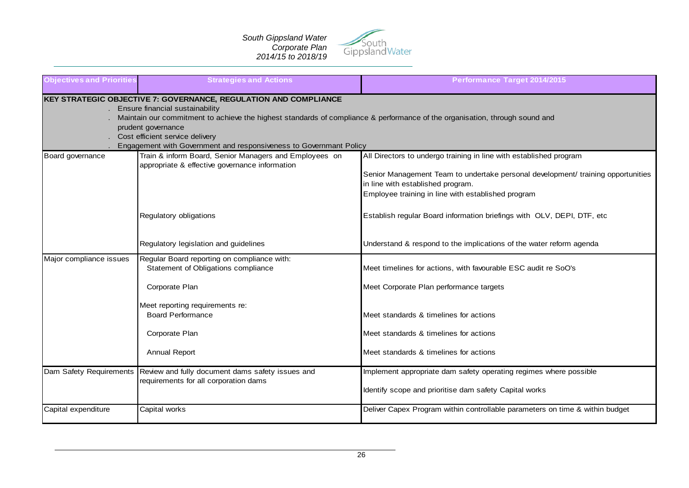

| <b>Objectives and Priorities</b> | <b>Strategies and Actions</b>                                                                                                                                                                                                                                                                                                                                     | Performance Target 2014/2015                                                                                                                                                                                                                      |
|----------------------------------|-------------------------------------------------------------------------------------------------------------------------------------------------------------------------------------------------------------------------------------------------------------------------------------------------------------------------------------------------------------------|---------------------------------------------------------------------------------------------------------------------------------------------------------------------------------------------------------------------------------------------------|
|                                  | KEY STRATEGIC OBJECTIVE 7: GOVERNANCE, REGULATION AND COMPLIANCE<br>Ensure financial sustainability<br>Maintain our commitment to achieve the highest standards of compliance & performance of the organisation, through sound and<br>prudent governance<br>Cost efficient service delivery<br>Engagement with Government and responsiveness to Governmant Policy |                                                                                                                                                                                                                                                   |
| Board governance                 | Train & inform Board, Senior Managers and Employees on<br>appropriate & effective governance information                                                                                                                                                                                                                                                          | All Directors to undergo training in line with established program<br>Senior Management Team to undertake personal development/ training opportunities<br>in line with established program.<br>Employee training in line with established program |
|                                  | Regulatory obligations                                                                                                                                                                                                                                                                                                                                            | Establish regular Board information briefings with OLV, DEPI, DTF, etc                                                                                                                                                                            |
|                                  | Regulatory legislation and guidelines                                                                                                                                                                                                                                                                                                                             | Understand & respond to the implications of the water reform agenda                                                                                                                                                                               |
| Major compliance issues          | Regular Board reporting on compliance with:<br>Statement of Obligations compliance                                                                                                                                                                                                                                                                                | Meet timelines for actions, with favourable ESC audit re SoO's                                                                                                                                                                                    |
|                                  | Corporate Plan                                                                                                                                                                                                                                                                                                                                                    | Meet Corporate Plan performance targets                                                                                                                                                                                                           |
|                                  | Meet reporting requirements re:<br>Board Performance                                                                                                                                                                                                                                                                                                              | Meet standards & timelines for actions                                                                                                                                                                                                            |
|                                  | Corporate Plan                                                                                                                                                                                                                                                                                                                                                    | Meet standards & timelines for actions                                                                                                                                                                                                            |
|                                  | <b>Annual Report</b>                                                                                                                                                                                                                                                                                                                                              | Meet standards & timelines for actions                                                                                                                                                                                                            |
|                                  | Dam Safety Requirements Review and fully document dams safety issues and<br>requirements for all corporation dams                                                                                                                                                                                                                                                 | Implement appropriate dam safety operating regimes where possible<br>Identify scope and prioritise dam safety Capital works                                                                                                                       |
| Capital expenditure              | Capital works                                                                                                                                                                                                                                                                                                                                                     | Deliver Capex Program within controllable parameters on time & within budget                                                                                                                                                                      |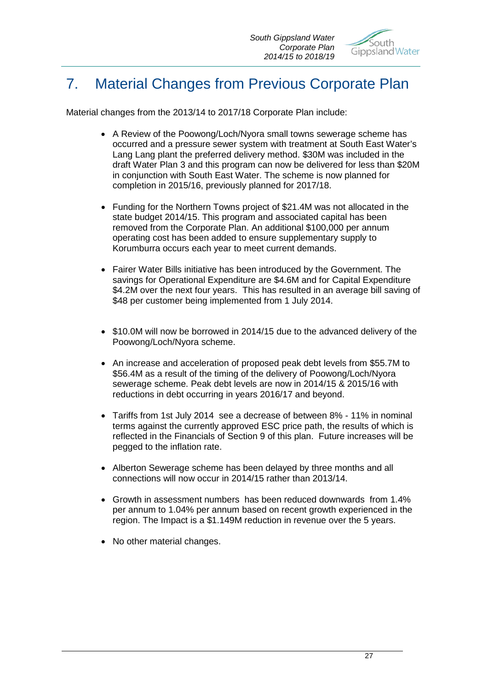

# 7. Material Changes from Previous Corporate Plan

Material changes from the 2013/14 to 2017/18 Corporate Plan include:

- A Review of the Poowong/Loch/Nyora small towns sewerage scheme has occurred and a pressure sewer system with treatment at South East Water's Lang Lang plant the preferred delivery method. \$30M was included in the draft Water Plan 3 and this program can now be delivered for less than \$20M in conjunction with South East Water. The scheme is now planned for completion in 2015/16, previously planned for 2017/18.
- Funding for the Northern Towns project of \$21.4M was not allocated in the state budget 2014/15. This program and associated capital has been removed from the Corporate Plan. An additional \$100,000 per annum operating cost has been added to ensure supplementary supply to Korumburra occurs each year to meet current demands.
- Fairer Water Bills initiative has been introduced by the Government. The savings for Operational Expenditure are \$4.6M and for Capital Expenditure \$4.2M over the next four years. This has resulted in an average bill saving of \$48 per customer being implemented from 1 July 2014.
- \$10.0M will now be borrowed in 2014/15 due to the advanced delivery of the Poowong/Loch/Nyora scheme.
- An increase and acceleration of proposed peak debt levels from \$55.7M to \$56.4M as a result of the timing of the delivery of Poowong/Loch/Nyora sewerage scheme. Peak debt levels are now in 2014/15 & 2015/16 with reductions in debt occurring in years 2016/17 and beyond.
- Tariffs from 1st July 2014 see a decrease of between 8% 11% in nominal terms against the currently approved ESC price path, the results of which is reflected in the Financials of Section 9 of this plan. Future increases will be pegged to the inflation rate.
- Alberton Sewerage scheme has been delayed by three months and all connections will now occur in 2014/15 rather than 2013/14.
- Growth in assessment numbers has been reduced downwards from 1.4% per annum to 1.04% per annum based on recent growth experienced in the region. The Impact is a \$1.149M reduction in revenue over the 5 years.
- No other material changes.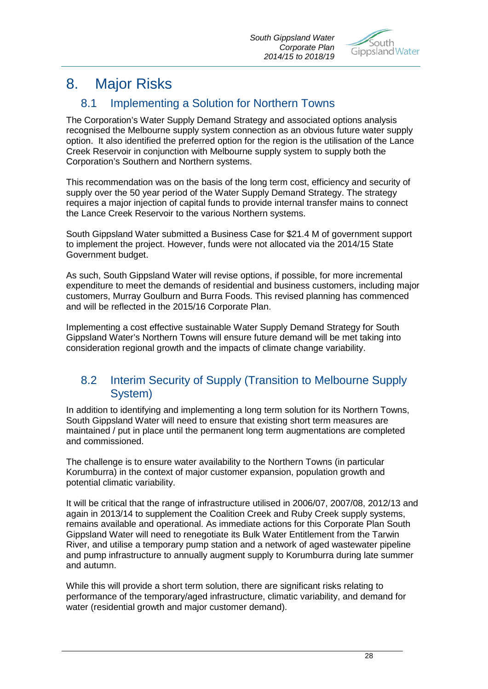

# 8. Major Risks

## 8.1 Implementing a Solution for Northern Towns

The Corporation's Water Supply Demand Strategy and associated options analysis recognised the Melbourne supply system connection as an obvious future water supply option. It also identified the preferred option for the region is the utilisation of the Lance Creek Reservoir in conjunction with Melbourne supply system to supply both the Corporation's Southern and Northern systems.

This recommendation was on the basis of the long term cost, efficiency and security of supply over the 50 year period of the Water Supply Demand Strategy. The strategy requires a major injection of capital funds to provide internal transfer mains to connect the Lance Creek Reservoir to the various Northern systems.

South Gippsland Water submitted a Business Case for \$21.4 M of government support to implement the project. However, funds were not allocated via the 2014/15 State Government budget.

As such, South Gippsland Water will revise options, if possible, for more incremental expenditure to meet the demands of residential and business customers, including major customers, Murray Goulburn and Burra Foods. This revised planning has commenced and will be reflected in the 2015/16 Corporate Plan.

Implementing a cost effective sustainable Water Supply Demand Strategy for South Gippsland Water's Northern Towns will ensure future demand will be met taking into consideration regional growth and the impacts of climate change variability.

## 8.2 Interim Security of Supply (Transition to Melbourne Supply System)

In addition to identifying and implementing a long term solution for its Northern Towns, South Gippsland Water will need to ensure that existing short term measures are maintained / put in place until the permanent long term augmentations are completed and commissioned.

The challenge is to ensure water availability to the Northern Towns (in particular Korumburra) in the context of major customer expansion, population growth and potential climatic variability.

It will be critical that the range of infrastructure utilised in 2006/07, 2007/08, 2012/13 and again in 2013/14 to supplement the Coalition Creek and Ruby Creek supply systems, remains available and operational. As immediate actions for this Corporate Plan South Gippsland Water will need to renegotiate its Bulk Water Entitlement from the Tarwin River, and utilise a temporary pump station and a network of aged wastewater pipeline and pump infrastructure to annually augment supply to Korumburra during late summer and autumn.

While this will provide a short term solution, there are significant risks relating to performance of the temporary/aged infrastructure, climatic variability, and demand for water (residential growth and major customer demand).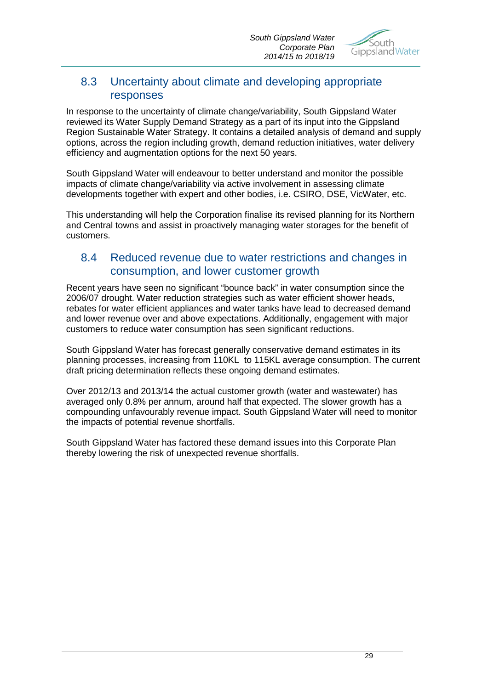

## 8.3 Uncertainty about climate and developing appropriate responses

In response to the uncertainty of climate change/variability, South Gippsland Water reviewed its Water Supply Demand Strategy as a part of its input into the Gippsland Region Sustainable Water Strategy. It contains a detailed analysis of demand and supply options, across the region including growth, demand reduction initiatives, water delivery efficiency and augmentation options for the next 50 years.

South Gippsland Water will endeavour to better understand and monitor the possible impacts of climate change/variability via active involvement in assessing climate developments together with expert and other bodies, i.e. CSIRO, DSE, VicWater, etc.

This understanding will help the Corporation finalise its revised planning for its Northern and Central towns and assist in proactively managing water storages for the benefit of customers.

## 8.4 Reduced revenue due to water restrictions and changes in consumption, and lower customer growth

Recent years have seen no significant "bounce back" in water consumption since the 2006/07 drought. Water reduction strategies such as water efficient shower heads, rebates for water efficient appliances and water tanks have lead to decreased demand and lower revenue over and above expectations. Additionally, engagement with major customers to reduce water consumption has seen significant reductions.

South Gippsland Water has forecast generally conservative demand estimates in its planning processes, increasing from 110KL to 115KL average consumption. The current draft pricing determination reflects these ongoing demand estimates.

Over 2012/13 and 2013/14 the actual customer growth (water and wastewater) has averaged only 0.8% per annum, around half that expected. The slower growth has a compounding unfavourably revenue impact. South Gippsland Water will need to monitor the impacts of potential revenue shortfalls.

South Gippsland Water has factored these demand issues into this Corporate Plan thereby lowering the risk of unexpected revenue shortfalls.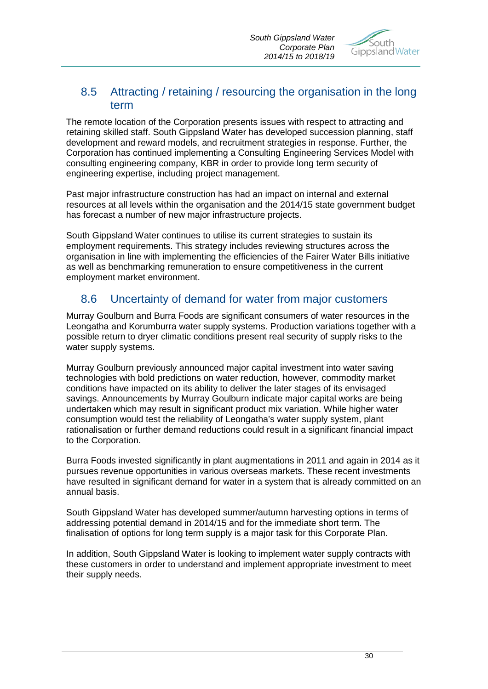

## 8.5 Attracting / retaining / resourcing the organisation in the long term

The remote location of the Corporation presents issues with respect to attracting and retaining skilled staff. South Gippsland Water has developed succession planning, staff development and reward models, and recruitment strategies in response. Further, the Corporation has continued implementing a Consulting Engineering Services Model with consulting engineering company, KBR in order to provide long term security of engineering expertise, including project management.

Past major infrastructure construction has had an impact on internal and external resources at all levels within the organisation and the 2014/15 state government budget has forecast a number of new major infrastructure projects.

South Gippsland Water continues to utilise its current strategies to sustain its employment requirements. This strategy includes reviewing structures across the organisation in line with implementing the efficiencies of the Fairer Water Bills initiative as well as benchmarking remuneration to ensure competitiveness in the current employment market environment.

## 8.6 Uncertainty of demand for water from major customers

Murray Goulburn and Burra Foods are significant consumers of water resources in the Leongatha and Korumburra water supply systems. Production variations together with a possible return to dryer climatic conditions present real security of supply risks to the water supply systems.

Murray Goulburn previously announced major capital investment into water saving technologies with bold predictions on water reduction, however, commodity market conditions have impacted on its ability to deliver the later stages of its envisaged savings. Announcements by Murray Goulburn indicate major capital works are being undertaken which may result in significant product mix variation. While higher water consumption would test the reliability of Leongatha's water supply system, plant rationalisation or further demand reductions could result in a significant financial impact to the Corporation.

Burra Foods invested significantly in plant augmentations in 2011 and again in 2014 as it pursues revenue opportunities in various overseas markets. These recent investments have resulted in significant demand for water in a system that is already committed on an annual basis.

South Gippsland Water has developed summer/autumn harvesting options in terms of addressing potential demand in 2014/15 and for the immediate short term. The finalisation of options for long term supply is a major task for this Corporate Plan.

In addition, South Gippsland Water is looking to implement water supply contracts with these customers in order to understand and implement appropriate investment to meet their supply needs.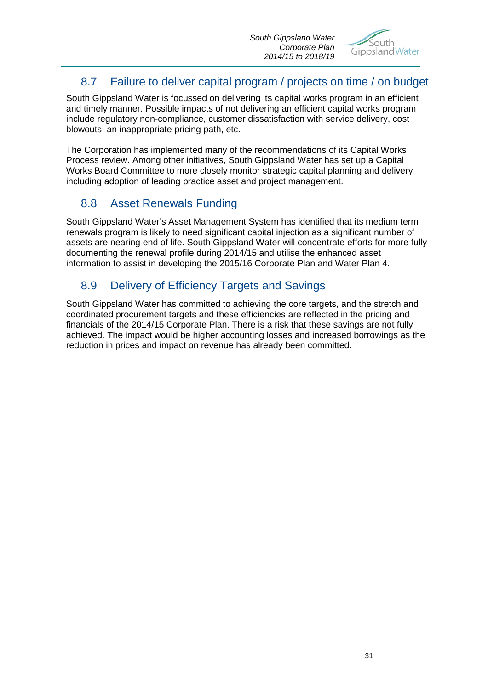

## 8.7 Failure to deliver capital program / projects on time / on budget

South Gippsland Water is focussed on delivering its capital works program in an efficient and timely manner. Possible impacts of not delivering an efficient capital works program include regulatory non-compliance, customer dissatisfaction with service delivery, cost blowouts, an inappropriate pricing path, etc.

The Corporation has implemented many of the recommendations of its Capital Works Process review. Among other initiatives, South Gippsland Water has set up a Capital Works Board Committee to more closely monitor strategic capital planning and delivery including adoption of leading practice asset and project management.

## 8.8 Asset Renewals Funding

South Gippsland Water's Asset Management System has identified that its medium term renewals program is likely to need significant capital injection as a significant number of assets are nearing end of life. South Gippsland Water will concentrate efforts for more fully documenting the renewal profile during 2014/15 and utilise the enhanced asset information to assist in developing the 2015/16 Corporate Plan and Water Plan 4.

## 8.9 Delivery of Efficiency Targets and Savings

South Gippsland Water has committed to achieving the core targets, and the stretch and coordinated procurement targets and these efficiencies are reflected in the pricing and financials of the 2014/15 Corporate Plan. There is a risk that these savings are not fully achieved. The impact would be higher accounting losses and increased borrowings as the reduction in prices and impact on revenue has already been committed.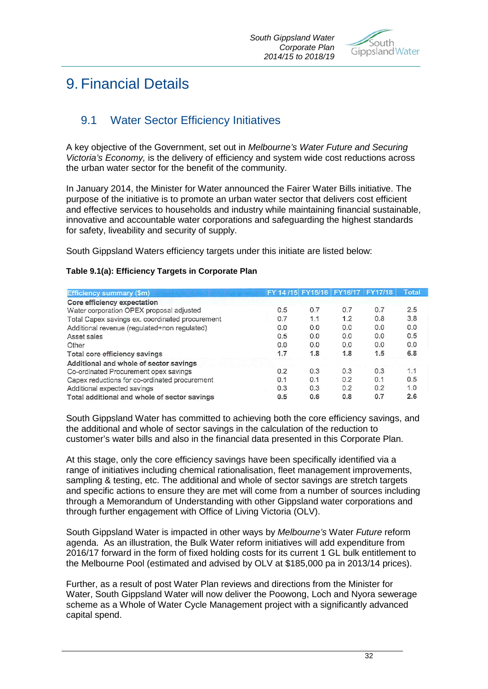

# 9. Financial Details

## 9.1 Water Sector Efficiency Initiatives

A key objective of the Government, set out in *Melbourne's Water Future and Securing Victoria's Economy,* is the delivery of efficiency and system wide cost reductions across the urban water sector for the benefit of the community.

In January 2014, the Minister for Water announced the Fairer Water Bills initiative. The purpose of the initiative is to promote an urban water sector that delivers cost efficient and effective services to households and industry while maintaining financial sustainable, innovative and accountable water corporations and safeguarding the highest standards for safety, liveability and security of supply.

South Gippsland Waters efficiency targets under this initiate are listed below:

| <b>Efficiency summary (\$m)</b>                 | FY 14/15 FY15/16 FY16/17 FY17/18 |     |     |     | <b>Total</b> |  |
|-------------------------------------------------|----------------------------------|-----|-----|-----|--------------|--|
| Core efficiency expectation                     |                                  |     |     |     |              |  |
| Water corporation OPEX proposal adjusted        | 0.5                              | 0.7 | 0.7 | 0.7 | 2.5          |  |
| Total Capex savings ex. coordinated procurement | 0.7                              | 1.1 | 1.2 | 0.8 | 3.8          |  |
| Additional revenue (regulated+non regulated)    | 0.0                              | 0.0 | 0.0 | 0.0 | 0.0          |  |
| Asset sales                                     | 0.5                              | 0.0 | 0.0 | 0.0 | 0.5          |  |
| Other                                           | 0.0                              | 0.0 | 0.0 | 0.0 | 0.0          |  |
| Total core efficiency savings                   | 1.7                              | 1.8 | 1.8 | 1.5 | 6.8          |  |
| Additional and whole of sector savings          |                                  |     |     |     |              |  |
| Co-ordinated Procurement opex savings           | 0.2                              | 0.3 | 0.3 | 0.3 | 1.1          |  |
| Capex reductions for co-ordinated procurement   | 0.1                              | 0.1 | 0.2 | 0.1 | 0.5          |  |
| Additional expected savings                     | 0.3                              | 0.3 | 0.2 | 0.2 | 1.0          |  |
| Total additional and whole of sector savings    | 0.5                              | 0.6 | 0.8 | 0.7 | 2.6          |  |

#### **Table 9.1(a): Efficiency Targets in Corporate Plan**

South Gippsland Water has committed to achieving both the core efficiency savings, and the additional and whole of sector savings in the calculation of the reduction to customer's water bills and also in the financial data presented in this Corporate Plan.

At this stage, only the core efficiency savings have been specifically identified via a range of initiatives including chemical rationalisation, fleet management improvements, sampling & testing, etc. The additional and whole of sector savings are stretch targets and specific actions to ensure they are met will come from a number of sources including through a Memorandum of Understanding with other Gippsland water corporations and through further engagement with Office of Living Victoria (OLV).

South Gippsland Water is impacted in other ways by *Melbourne's* Water *Future* reform agenda. As an illustration, the Bulk Water reform initiatives will add expenditure from 2016/17 forward in the form of fixed holding costs for its current 1 GL bulk entitlement to the Melbourne Pool (estimated and advised by OLV at \$185,000 pa in 2013/14 prices).

Further, as a result of post Water Plan reviews and directions from the Minister for Water, South Gippsland Water will now deliver the Poowong, Loch and Nyora sewerage scheme as a Whole of Water Cycle Management project with a significantly advanced capital spend.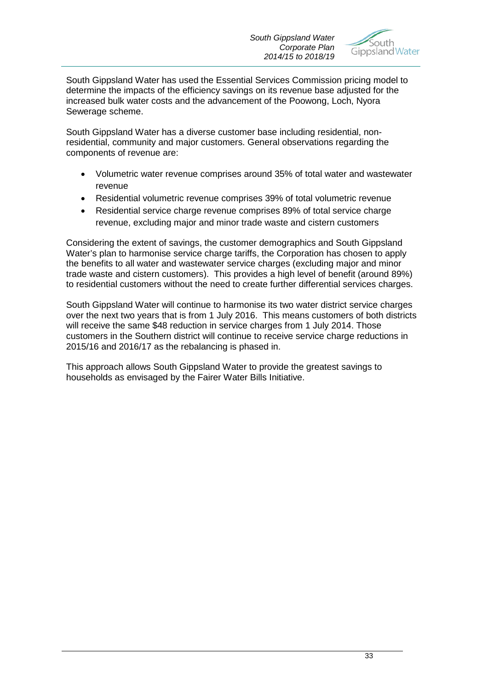

South Gippsland Water has used the Essential Services Commission pricing model to determine the impacts of the efficiency savings on its revenue base adjusted for the increased bulk water costs and the advancement of the Poowong, Loch, Nyora Sewerage scheme.

South Gippsland Water has a diverse customer base including residential, nonresidential, community and major customers. General observations regarding the components of revenue are:

- Volumetric water revenue comprises around 35% of total water and wastewater revenue
- Residential volumetric revenue comprises 39% of total volumetric revenue
- Residential service charge revenue comprises 89% of total service charge revenue, excluding major and minor trade waste and cistern customers

Considering the extent of savings, the customer demographics and South Gippsland Water's plan to harmonise service charge tariffs, the Corporation has chosen to apply the benefits to all water and wastewater service charges (excluding major and minor trade waste and cistern customers). This provides a high level of benefit (around 89%) to residential customers without the need to create further differential services charges.

South Gippsland Water will continue to harmonise its two water district service charges over the next two years that is from 1 July 2016. This means customers of both districts will receive the same \$48 reduction in service charges from 1 July 2014. Those customers in the Southern district will continue to receive service charge reductions in 2015/16 and 2016/17 as the rebalancing is phased in.

This approach allows South Gippsland Water to provide the greatest savings to households as envisaged by the Fairer Water Bills Initiative.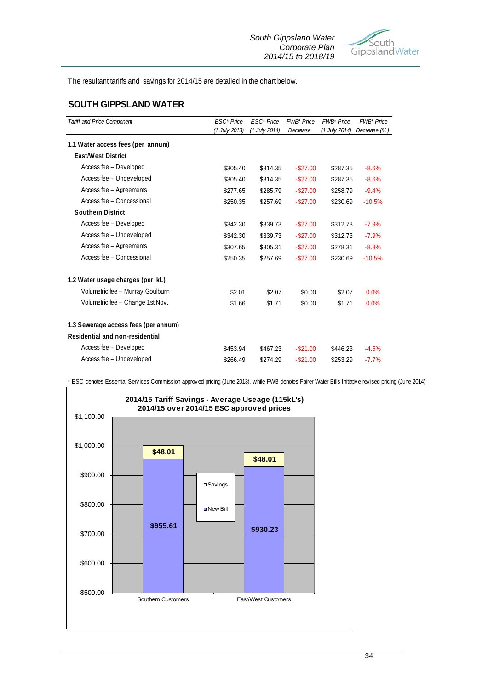

The resultant tariffs and savings for 2014/15 are detailed in the chart below.

#### **SOUTH GIPPSLAND WATER**

| <b>Tariff and Price Component</b>    | ESC <sup>*</sup> Price | ESC <sup>*</sup> Price | <b>FWB*</b> Price | <b>FWB*</b> Price | FWB* Price   |
|--------------------------------------|------------------------|------------------------|-------------------|-------------------|--------------|
|                                      | (1 July 2013)          | (1 July 2014)          | Decrease          | (1 July 2014)     | Decrease (%) |
| 1.1 Water access fees (per annum)    |                        |                        |                   |                   |              |
| <b>East/West District</b>            |                        |                        |                   |                   |              |
| Access fee - Developed               | \$305.40               | \$314.35               | $-$ \$27.00       | \$287.35          | $-8.6%$      |
| Access fee - Undeveloped             | \$305.40               | \$314.35               | $-$ \$27.00       | \$287.35          | $-8.6%$      |
| Access fee - Agreements              | \$277.65               | \$285.79               | $-$ \$27.00       | \$258.79          | $-9.4%$      |
| Access fee - Concessional            | \$250.35               | \$257.69               | $-$ \$27.00       | \$230.69          | $-10.5%$     |
| <b>Southern District</b>             |                        |                        |                   |                   |              |
| Access fee - Developed               | \$342.30               | \$339.73               | $-$ \$27.00       | \$312.73          | $-7.9%$      |
| Access fee - Undeveloped             | \$342.30               | \$339.73               | $-$ \$27.00       | \$312.73          | $-7.9%$      |
| Access fee - Agreements              | \$307.65               | \$305.31               | $-$ \$27.00       | \$278.31          | $-8.8%$      |
| Access fee - Concessional            | \$250.35               | \$257.69               | $-$ \$27.00       | \$230.69          | $-10.5%$     |
| 1.2 Water usage charges (per kL)     |                        |                        |                   |                   |              |
| Volumetric fee - Murray Goulburn     | \$2.01                 | \$2.07                 | \$0.00            | \$2.07            | 0.0%         |
| Volumetric fee - Change 1st Nov.     | \$1.66                 | \$1.71                 | \$0.00            | \$1.71            | 0.0%         |
| 1.3 Sewerage access fees (per annum) |                        |                        |                   |                   |              |
| Residential and non-residential      |                        |                        |                   |                   |              |
| Access fee - Developed               | \$453.94               | \$467.23               | $-$ \$21.00       | \$446.23          | $-4.5%$      |
| Access fee - Undeveloped             | \$266.49               | \$274.29               | $-$ \$21.00       | \$253.29          | $-7.7%$      |

\* ESC denotes Essential Services Commission approved pricing (June 2013), while FWB denotes Fairer Water Bills Initiative revised pricing (June 2014)

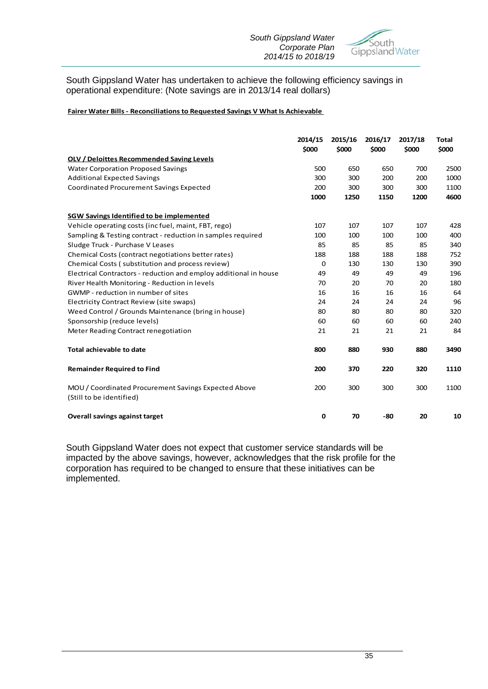

#### South Gippsland Water has undertaken to achieve the following efficiency savings in operational expenditure: (Note savings are in 2013/14 real dollars)

#### **Fairer Water Bills - Reconciliations to Requested Savings V What Is Achievable**

|                                                                                  | 2014/15<br>\$000 | 2015/16<br>\$000 | 2016/17<br>\$000 | 2017/18<br>\$000 | <b>Total</b><br>\$000 |
|----------------------------------------------------------------------------------|------------------|------------------|------------------|------------------|-----------------------|
| <b>OLV / Deloittes Recommended Saving Levels</b>                                 |                  |                  |                  |                  |                       |
| <b>Water Corporation Proposed Savings</b>                                        | 500              | 650              | 650              | 700              | 2500                  |
| <b>Additional Expected Savings</b>                                               | 300              | 300              | 200              | 200              | 1000                  |
| <b>Coordinated Procurement Savings Expected</b>                                  | 200              | 300              | 300              | 300              | 1100                  |
|                                                                                  | 1000             | 1250             | 1150             | 1200             | 4600                  |
| <b>SGW Savings Identified to be implemented</b>                                  |                  |                  |                  |                  |                       |
| Vehicle operating costs (inc fuel, maint, FBT, rego)                             | 107              | 107              | 107              | 107              | 428                   |
| Sampling & Testing contract - reduction in samples required                      | 100              | 100              | 100              | 100              | 400                   |
| Sludge Truck - Purchase V Leases                                                 | 85               | 85               | 85               | 85               | 340                   |
| Chemical Costs (contract negotiations better rates)                              | 188              | 188              | 188              | 188              | 752                   |
| Chemical Costs (substitution and process review)                                 | 0                | 130              | 130              | 130              | 390                   |
| Electrical Contractors - reduction and employ additional in house                | 49               | 49               | 49               | 49               | 196                   |
| River Health Monitoring - Reduction in levels                                    | 70               | 20               | 70               | 20               | 180                   |
| GWMP - reduction in number of sites                                              | 16               | 16               | 16               | 16               | 64                    |
| Electricity Contract Review (site swaps)                                         | 24               | 24               | 24               | 24               | 96                    |
| Weed Control / Grounds Maintenance (bring in house)                              | 80               | 80               | 80               | 80               | 320                   |
| Sponsorship (reduce levels)                                                      | 60               | 60               | 60               | 60               | 240                   |
| Meter Reading Contract renegotiation                                             | 21               | 21               | 21               | 21               | 84                    |
| <b>Total achievable to date</b>                                                  | 800              | 880              | 930              | 880              | 3490                  |
| <b>Remainder Required to Find</b>                                                | 200              | 370              | 220              | 320              | 1110                  |
| MOU / Coordinated Procurement Savings Expected Above<br>(Still to be identified) | 200              | 300              | 300              | 300              | 1100                  |
| <b>Overall savings against target</b>                                            | 0                | 70               | -80              | 20               | 10                    |

South Gippsland Water does not expect that customer service standards will be impacted by the above savings, however, acknowledges that the risk profile for the corporation has required to be changed to ensure that these initiatives can be implemented.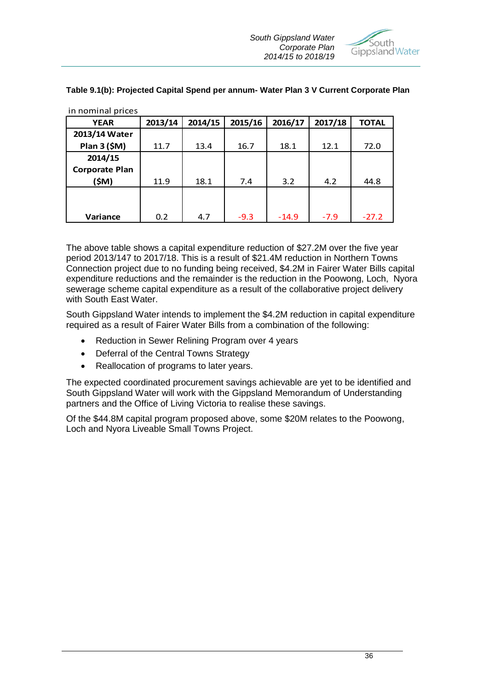

| <b>III HUHHHAI DHUCS</b> |         |         |         |         |         |         |
|--------------------------|---------|---------|---------|---------|---------|---------|
| <b>YEAR</b>              | 2013/14 | 2014/15 | 2015/16 | 2016/17 | 2017/18 | TOTAL   |
| 2013/14 Water            |         |         |         |         |         |         |
| Plan 3 (\$M)             | 11.7    | 13.4    | 16.7    | 18.1    | 12.1    | 72.0    |
| 2014/15                  |         |         |         |         |         |         |
| <b>Corporate Plan</b>    |         |         |         |         |         |         |
| (\$M)                    | 11.9    | 18.1    | 7.4     | 3.2     | 4.2     | 44.8    |
|                          |         |         |         |         |         |         |
|                          |         |         |         |         |         |         |
| Variance                 | 0.2     | 4.7     | $-9.3$  | $-14.9$ | $-7.9$  | $-27.2$ |

**Table 9.1(b): Projected Capital Spend per annum- Water Plan 3 V Current Corporate Plan**

The above table shows a capital expenditure reduction of \$27.2M over the five year period 2013/147 to 2017/18. This is a result of \$21.4M reduction in Northern Towns Connection project due to no funding being received, \$4.2M in Fairer Water Bills capital expenditure reductions and the remainder is the reduction in the Poowong, Loch, Nyora sewerage scheme capital expenditure as a result of the collaborative project delivery with South East Water.

South Gippsland Water intends to implement the \$4.2M reduction in capital expenditure required as a result of Fairer Water Bills from a combination of the following:

- Reduction in Sewer Relining Program over 4 years
- Deferral of the Central Towns Strategy

in nominal prices

• Reallocation of programs to later years.

The expected coordinated procurement savings achievable are yet to be identified and South Gippsland Water will work with the Gippsland Memorandum of Understanding partners and the Office of Living Victoria to realise these savings.

Of the \$44.8M capital program proposed above, some \$20M relates to the Poowong, Loch and Nyora Liveable Small Towns Project.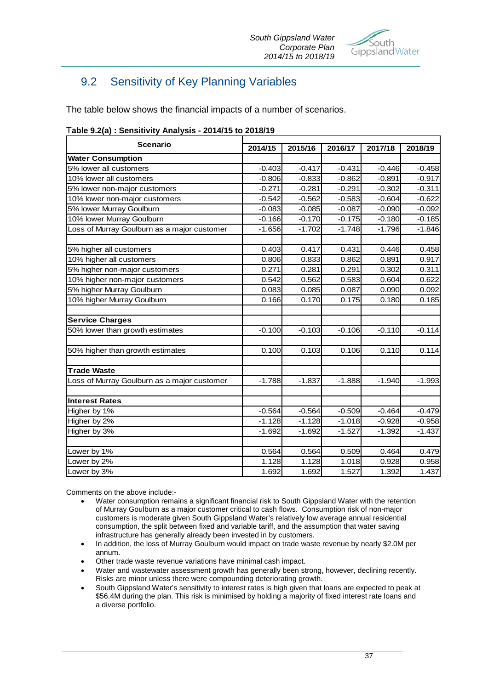

## 9.2 Sensitivity of Key Planning Variables

The table below shows the financial impacts of a number of scenarios.

| <b>Scenario</b>                             | 2014/15  | 2015/16  | 2016/17  | 2017/18  | 2018/19  |  |
|---------------------------------------------|----------|----------|----------|----------|----------|--|
| <b>Water Consumption</b>                    |          |          |          |          |          |  |
| 5% lower all customers                      | $-0.403$ | $-0.417$ | $-0.431$ | $-0.446$ | $-0.458$ |  |
| 10% lower all customers                     | $-0.806$ | $-0.833$ | $-0.862$ | $-0.891$ | $-0.917$ |  |
| 5% lower non-major customers                | $-0.271$ | $-0.281$ | $-0.291$ | $-0.302$ | $-0.311$ |  |
| 10% lower non-major customers               | $-0.542$ | $-0.562$ | $-0.583$ | $-0.604$ | $-0.622$ |  |
| 5% lower Murray Goulburn                    | $-0.083$ | $-0.085$ | $-0.087$ | $-0.090$ | $-0.092$ |  |
| 10% lower Murray Goulburn                   | $-0.166$ | $-0.170$ | $-0.175$ | $-0.180$ | $-0.185$ |  |
| oss of Murray Goulburn as a major customer  | $-1.656$ | $-1.702$ | $-1.748$ | $-1.796$ | $-1.846$ |  |
| 5% higher all customers                     | 0.403    | 0.417    | 0.431    | 0.446    | 0.458    |  |
| 10% higher all customers                    | 0.806    | 0.833    | 0.862    | 0.891    | 0.917    |  |
| 5% higher non-major customers               | 0.271    | 0.281    | 0.291    | 0.302    | 0.311    |  |
| 10% higher non-major customers              | 0.542    | 0.562    | 0.583    | 0.604    | 0.622    |  |
| 5% higher Murray Goulburn                   | 0.083    | 0.085    | 0.087    | 0.090    | 0.092    |  |
| 10% higher Murray Goulburn                  | 0.166    | 0.170    | 0.175    | 0.180    | 0.185    |  |
| <b>Service Charges</b>                      |          |          |          |          |          |  |
| 50% lower than growth estimates             | $-0.100$ | $-0.103$ | $-0.106$ | $-0.110$ | $-0.114$ |  |
| 50% higher than growth estimates            | 0.100    | 0.103    | 0.106    | 0.110    | 0.114    |  |
| <b>Trade Waste</b>                          |          |          |          |          |          |  |
| Loss of Murray Goulburn as a major customer | $-1.788$ | $-1.837$ | $-1.888$ | $-1.940$ | $-1.993$ |  |
| <b>Interest Rates</b>                       |          |          |          |          |          |  |
| Higher by 1%                                | $-0.564$ | $-0.564$ | $-0.509$ | $-0.464$ | $-0.479$ |  |
| Higher by 2%                                | $-1.128$ | $-1.128$ | $-1.018$ | $-0.928$ | $-0.958$ |  |
| Higher by 3%                                | $-1.692$ | $-1.692$ | $-1.527$ | $-1.392$ | $-1.437$ |  |
| Lower by 1%                                 | 0.564    | 0.564    | 0.509    | 0.464    | 0.479    |  |
| Lower by 2%                                 | 1.128    | 1.128    | 1.018    | 0.928    | 0.958    |  |
| Lower by 3%                                 | 1.692    | 1.692    | 1.527    | 1.392    | 1.437    |  |

|  |  |  | Table 9.2(a) : Sensitivity Analysis - 2014/15 to 2018/19 |
|--|--|--|----------------------------------------------------------|
|--|--|--|----------------------------------------------------------|

Comments on the above include:-

- Water consumption remains a significant financial risk to South Gippsland Water with the retention of Murray Goulburn as a major customer critical to cash flows. Consumption risk of non-major customers is moderate given South Gippsland Water's relatively low average annual residential consumption, the split between fixed and variable tariff, and the assumption that water saving infrastructure has generally already been invested in by customers.
- In addition, the loss of Murray Goulburn would impact on trade waste revenue by nearly \$2.0M per annum.
- Other trade waste revenue variations have minimal cash impact.
- Water and wastewater assessment growth has generally been strong, however, declining recently. Risks are minor unless there were compounding deteriorating growth.
- South Gippsland Water's sensitivity to interest rates is high given that loans are expected to peak at \$56.4M during the plan. This risk is minimised by holding a majority of fixed interest rate loans and a diverse portfolio.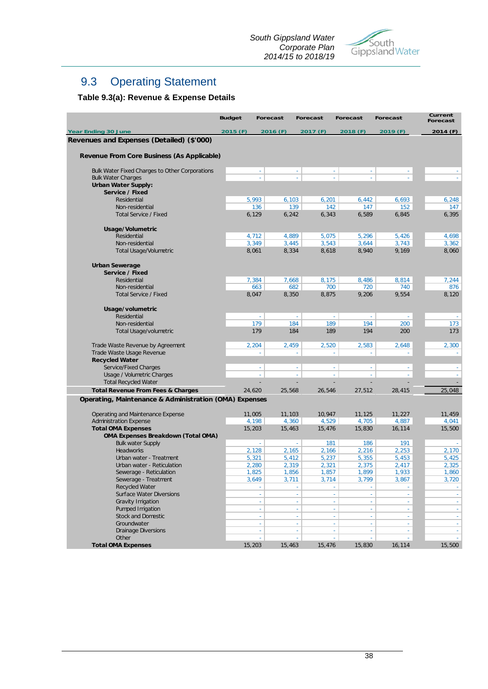

## 9.3 Operating Statement

## **Table 9.3(a): Revenue & Expense Details**

|                                                        | <b>Budget</b> | <b>Forecast</b>     | <b>Forecast</b>    | <b>Forecast</b> | <b>Forecast</b> | Current<br><b>Forecast</b> |
|--------------------------------------------------------|---------------|---------------------|--------------------|-----------------|-----------------|----------------------------|
| <b>Year Ending 30 June</b>                             | 2015 (F)      | 2016 (F)            | 2017 (F)           | 2018 (F)        | 2019 (F)        | 2014(F)                    |
| Revenues and Expenses (Detailed) (\$'000)              |               |                     |                    |                 |                 |                            |
|                                                        |               |                     |                    |                 |                 |                            |
| Revenue From Core Business (As Applicable)             |               |                     |                    |                 |                 |                            |
| Bulk Water Fixed Charges to Other Corporations         |               | $\mathbb{Z}$        | $\omega$<br>$\sim$ | $\omega$        | ×.              |                            |
| <b>Bulk Water Charges</b>                              |               | L,                  | L,<br>L,           | L,              |                 |                            |
| <b>Urban Water Supply:</b>                             |               |                     |                    |                 |                 |                            |
| Service / Fixed                                        |               |                     |                    |                 |                 |                            |
| Residential                                            | 5,993         | 6,103               | 6,201              | 6,442           | 6,693           | 6,248                      |
| Non-residential                                        |               | 136<br>139          | 142                | 147             | 152             | 147                        |
| <b>Total Service / Fixed</b>                           | 6,129         | 6,242               | 6,343              | 6,589           | 6,845           | 6,395                      |
|                                                        |               |                     |                    |                 |                 |                            |
| Usage/Volumetric                                       |               |                     |                    |                 |                 |                            |
| Residential                                            | 4,712         | 4,889               | 5,075              | 5,296           | 5,426           | 4,698                      |
| Non-residential                                        | 3,349         | 3,445               | 3,543              | 3,644           | 3,743           | 3,362                      |
| <b>Total Usage/Volumetric</b>                          | 8,061         | 8,334               | 8,618              | 8,940           | 9,169           | 8,060                      |
| <b>Urban Sewerage</b>                                  |               |                     |                    |                 |                 |                            |
| Service / Fixed                                        |               |                     |                    |                 |                 |                            |
| Residential                                            | 7,384         | 7,668               | 8,175              | 8,486           | 8,814           | 7,244                      |
| Non-residential                                        |               | 663<br>682          | 700                | 720             | 740             | 876                        |
| <b>Total Service / Fixed</b>                           | 8,047         | 8,350               | 8,875              | 9,206           | 9,554           | 8,120                      |
|                                                        |               |                     |                    |                 |                 |                            |
| Usage/volumetric                                       |               |                     |                    |                 |                 |                            |
| Residential                                            |               | $\mathbb{Z}$        | $\sim$<br>$\sim$   | $\sim$          | $\sim$          | $\omega$                   |
| Non-residential                                        |               | 179<br>184          | 189                | 194             | 200             | 173                        |
| Total Usage/volumetric                                 | 179           | 184                 | 189                | 194             | 200             | 173                        |
|                                                        |               |                     |                    |                 |                 |                            |
| Trade Waste Revenue by Agreement                       | 2,204         | 2,459               | 2,520              | 2,583           | 2,648           | 2,300                      |
| Trade Waste Usage Revenue                              |               | ÷                   | ÷<br>÷.            | ÷               | ÷               | $\sim$                     |
| <b>Recycled Water</b>                                  |               |                     |                    |                 |                 |                            |
| Service/Fixed Charges                                  |               | $\sim$              | $\sim$<br>$\sim$   | $\sim$          | $\sim$          | ÷                          |
| Usage / Volumetric Charges                             |               | ÷                   | ÷.<br>÷            | ÷.              | ÷               | ÷                          |
| <b>Total Recycled Water</b>                            |               |                     |                    |                 |                 |                            |
| <b>Total Revenue From Fees &amp; Charges</b>           | 24,620        | 25,568              | 26,546             | 27,512          | 28,415          | 25,048                     |
| Operating, Maintenance & Administration (OMA) Expenses |               |                     |                    |                 |                 |                            |
|                                                        |               |                     |                    |                 |                 |                            |
| Operating and Maintenance Expense                      | 11,005        | 11,103              | 10,947             | 11,125          | 11,227          | 11,459                     |
| <b>Administration Expense</b>                          | 4,198         | 4,360               | 4,529              | 4,705           | 4,887           | 4,041                      |
| <b>Total OMA Expenses</b>                              | 15,203        | 15,463              | 15,476             | 15,830          | 16,114          | 15,500                     |
| <b>OMA Expenses Breakdown (Total OMA)</b>              |               |                     |                    |                 |                 |                            |
| <b>Bulk water Supply</b>                               |               | ÷.                  | 181<br>÷.          | 186             | 191             | $\omega$                   |
| Headworks                                              | 2,128         | 2,165               | 2,166              | 2,216           | 2,253           | 2,170                      |
| Urban water - Treatment                                | 5,321         | 5,412               | 5,237              | 5,355           | 5,453           | 5,425                      |
| Urban water - Reticulation                             | 2,280         | 2,319               | 2,321              | 2,375           | 2,417           | 2,325                      |
| Sewerage - Reticulation                                | 1,825         | 1,856               | 1,857              | 1,899           | 1,933           | 1,860                      |
| Sewerage - Treatment                                   | 3,649         | 3,711               | 3,714              | 3,799           | 3,867           | 3,720                      |
| Recycled Water                                         |               |                     |                    |                 |                 | $\omega$                   |
| <b>Surface Water Diversions</b>                        |               |                     |                    |                 | ÷.              | $\omega$                   |
| Gravity Irrigation                                     |               | $\bar{\phantom{a}}$ | $\omega$<br>$\sim$ | $\omega$        | ÷.              | $\omega$                   |
| Pumped Irrigation                                      |               | ÷.                  | ÷<br>÷.            | $\omega$        | $\omega$        | ÷                          |
| <b>Stock and Domestic</b>                              |               | $\sim$              | ×.<br>$\sim$       | ×.              | $\omega$        | $\omega$                   |
| Groundwater                                            |               | ÷                   |                    | ×,              | ÷.              | $\sim$                     |
| Drainage Diversions                                    |               | ÷.                  | ÷<br>÷.            | $\sim$          | $\omega$        | $\omega_{\rm c}$           |
| Other                                                  |               |                     |                    |                 |                 |                            |
| <b>Total OMA Expenses</b>                              | 15,203        | 15,463              | 15,476             | 15,830          | 16,114          | 15,500                     |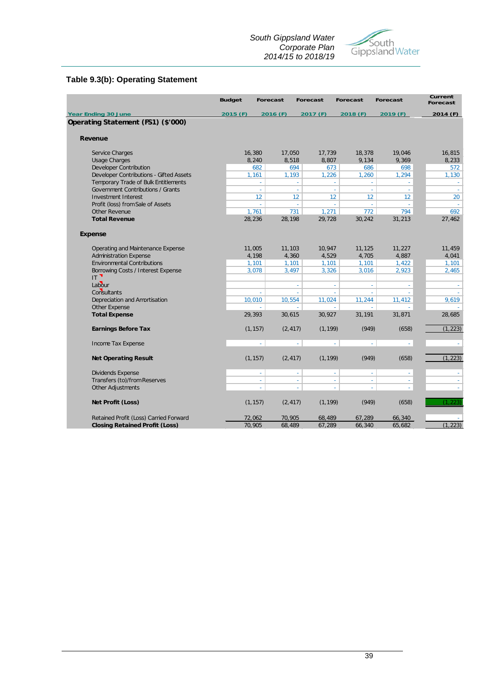#### *South Gippsland Water Corporate Plan 2014/15 to 2018/19*



### **Table 9.3(b): Operating Statement**

|                                          | <b>Budget</b> | <b>Forecast</b> | <b>Forecast</b>  | <b>Forecast</b> | <b>Forecast</b> | <b>Current</b><br><b>Forecast</b> |
|------------------------------------------|---------------|-----------------|------------------|-----------------|-----------------|-----------------------------------|
| <b>Year Ending 30 June</b>               | 2015 (F)      | 2016 (F)        | 2017 (F)         | 2018 (F)        | 2019 (F)        | 2014 (F)                          |
| Operating Statement (FS1) (\$'000)       |               |                 |                  |                 |                 |                                   |
| Revenue                                  |               |                 |                  |                 |                 |                                   |
| Service Charges                          | 16,380        | 17,050          | 17,739           | 18,378          | 19,046          | 16,815                            |
| <b>Usage Charges</b>                     | 8,240         | 8,518           | 8,807            | 9,134           | 9,369           | 8,233                             |
| <b>Developer Contribution</b>            |               | 682             | 673<br>694       | 686             | 698             | 572                               |
| Developer Contributions - Gifted Assets  | 1,161         | 1,193           | 1,226            | 1,260           | 1,294           | 1,130                             |
| Temporary Trade of Bulk Entitlements     |               | ÷               | $\sim$<br>$\sim$ | ÷               | $\sim$          | $\sim$                            |
| <b>Government Contributions / Grants</b> |               | ä,              | ä,<br>ä,         | ä,              | $\omega$        | $\sim$                            |
| <b>Investment Interest</b>               |               | 12              | 12<br>12         | 12              | 12 <sup>°</sup> | 20                                |
| Profit (loss) from Sale of Assets        |               |                 | J.               | ä,              |                 |                                   |
| Other Revenue                            | 1,761         |                 | 731<br>1,271     | 772             | 794             | 692                               |
| <b>Total Revenue</b>                     | 28,236        | 28,198          | 29,728           | 30,242          | 31,213          | 27,462                            |
| <b>Expense</b>                           |               |                 |                  |                 |                 |                                   |
| Operating and Maintenance Expense        | 11,005        | 11,103          | 10,947           | 11,125          | 11,227          | 11,459                            |
| <b>Administration Expense</b>            | 4,198         | 4,360           | 4,529            | 4,705           | 4,887           | 4,041                             |
| <b>Environmental Contributions</b>       | 1,101         | 1,101           | 1,101            | 1,101           | 1,422           | 1,101                             |
| Borrowing Costs / Interest Expense       | 3,078         | 3,497           | 3,326            | 3,016           | 2,923           | 2,465                             |
| $\mathbb{E}^{\mathbb{R}}$                |               |                 |                  |                 |                 |                                   |
| Labour                                   |               |                 | L,<br>$\sim$     | L,              | $\omega$        |                                   |
| Consultants                              |               | ÷,              | ÷,<br>÷.         | L,              | $\mathbf{r}$    |                                   |
| Depreciation and Amortisation            | 10,010        | 10,554          | 11,024           | 11,244          | 11,412          | 9,619                             |
| Other Expense                            |               |                 |                  |                 |                 |                                   |
| <b>Total Expense</b>                     | 29,393        | 30,615          | 30,927           | 31,191          | 31,871          | 28,685                            |
| <b>Earnings Before Tax</b>               | (1, 157)      | (2, 417)        | (1, 199)         | (949)           | (658)           | (1, 223)                          |
| Income Tax Expense                       |               | L,              | L,<br>L.         | L,              | ÷.              |                                   |
| <b>Net Operating Result</b>              | (1, 157)      | (2, 417)        | (1, 199)         | (949)           | (658)           | (1, 223)                          |
| Dividends Expense                        |               | ÷.              | ÷.<br>$\Box$     | ÷               | $\sim$          | ÷.                                |
| Transfers (to)/from Reserves             |               | L,              | ٠<br>٠           | ÷,              | $\sim$          |                                   |
| Other Adjustments                        |               | L.              |                  |                 |                 |                                   |
| Net Profit (Loss)                        | (1, 157)      | (2, 417)        | (1, 199)         | (949)           | (658)           | (1.223)                           |
| Retained Profit (Loss) Carried Forward   | 72,062        | 70,905          | 68,489           | 67,289          | 66,340          |                                   |
| <b>Closing Retained Profit (Loss)</b>    | 70,905        | 68,489          | 67,289           | 66,340          | 65,682          | (1, 223)                          |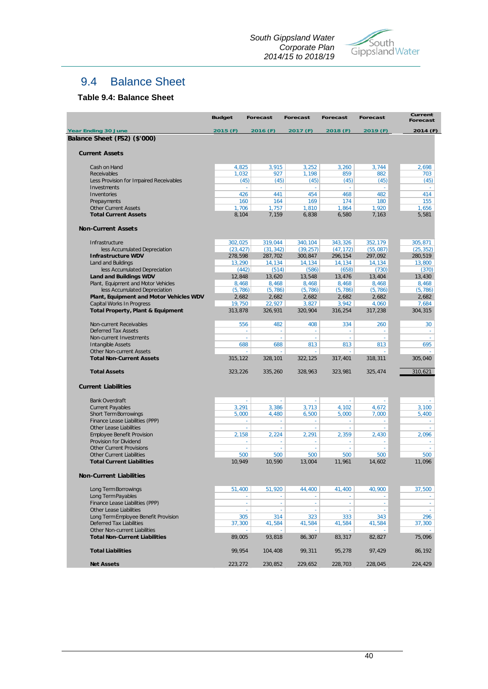*South Gippsland Water Corporate Plan 2014/15 to 2018/19*



## 9.4 Balance Sheet

#### **Table 9.4: Balance Sheet**

|                                                                             | <b>Budget</b>   | <b>Forecast</b>      | <b>Forecast</b> | <b>Forecast</b> | <b>Forecast</b> | Current<br><b>Forecast</b> |
|-----------------------------------------------------------------------------|-----------------|----------------------|-----------------|-----------------|-----------------|----------------------------|
| <b>Year Ending 30 June</b>                                                  | 2015 (F)        | 2016 (F)             | 2017 (F)        | 2018 (F)        | 2019 (F)        | 2014 (F)                   |
| Balance Sheet (FS2) (\$'000)                                                |                 |                      |                 |                 |                 |                            |
|                                                                             |                 |                      |                 |                 |                 |                            |
| <b>Current Assets</b>                                                       |                 |                      |                 |                 |                 |                            |
| Cash on Hand                                                                | 4,825           | 3,915                | 3,252           | 3,260           | 3,744           | 2,698                      |
| Receivables                                                                 | 1,032           | 927                  | 1,198           | 859             | 882             | 703                        |
| Less Provision for Impaired Receivables                                     |                 | (45)<br>(45)         | (45)            | (45)            | (45)            | (45)                       |
| Investments                                                                 |                 | $\omega$<br>$\omega$ | ÷.              | ÷.              | $\sim$          | $\sim$                     |
| Inventories                                                                 | 426             | 441                  | 454             | 468             | 482             | 414                        |
| Prepayments                                                                 | 160             | 164                  | 169             | 174             | 180             | 155                        |
| <b>Other Current Assets</b>                                                 | 1,706           | 1,757                | 1,810           | 1,864           | 1,920           | 1,656                      |
| <b>Total Current Assets</b>                                                 | 8,104           | 7,159                | 6,838           | 6,580           | 7,163           | 5,581                      |
| <b>Non-Current Assets</b>                                                   |                 |                      |                 |                 |                 |                            |
| Infrastructure                                                              | 302,025         | 319,044              | 340,104         | 343,326         | 352,179         | 305,871                    |
| less Accumulated Depreciation                                               | (23, 427)       | (31, 342)            | (39, 257)       | (47, 172)       | (55,087)        | (25, 352)                  |
| <b>Infrastructure WDV</b>                                                   | 278,598         | 287,702              | 300,847         | 296,154         | 297,092         | 280,519                    |
| Land and Buildings                                                          | 13,290          | 14,134               | 14,134          | 14,134          | 14,134          | 13,800                     |
| less Accumulated Depreciation                                               | (442)           | (514)                | (586)           | (658)           | (730)           | (370)                      |
| <b>Land and Buildings WDV</b>                                               | 12,848          | 13,620               | 13,548          | 13,476          | 13,404          | 13,430                     |
| Plant, Equipment and Motor Vehicles                                         | 8,468           | 8,468                | 8,468           | 8,468           | 8,468           | 8,468                      |
| less Accumulated Depreciation                                               | (5, 786)        | (5, 786)             | (5, 786)        | (5, 786)        | (5, 786)        | (5, 786)                   |
| Plant, Equipment and Motor Vehicles WDV<br><b>Capital Works In Progress</b> | 2,682<br>19,750 | 2,682<br>22,927      | 2,682<br>3,827  | 2,682<br>3,942  | 2,682<br>4.060  | 2,682<br>7,684             |
| <b>Total Property, Plant &amp; Equipment</b>                                | 313,878         | 326,931              | 320,904         | 316.254         | 317.238         | 304,315                    |
|                                                                             |                 |                      |                 |                 |                 |                            |
| Non-current Receivables                                                     | 556             | 482                  | 408             | 334             | 260             | 30                         |
| <b>Deferred Tax Assets</b>                                                  |                 | ä,<br>ä,             | ä,              |                 |                 |                            |
| Non-current Investments                                                     |                 | $\omega$<br>$\omega$ | $\omega$        | ä,              |                 |                            |
| <b>Intangible Assets</b>                                                    | 688             | 688                  | 813             | 813             | 813             | 695                        |
| <b>Other Non-current Assets</b>                                             |                 |                      |                 |                 |                 |                            |
| <b>Total Non-Current Assets</b>                                             | 315,122         | 328,101              | 322,125         | 317,401         | 318,311         | 305,040                    |
| <b>Total Assets</b>                                                         | 323,226         | 335,260              | 328,963         | 323,981         | 325,474         | 310,621                    |
|                                                                             |                 |                      |                 |                 |                 |                            |
| <b>Current Liabilities</b>                                                  |                 |                      |                 |                 |                 |                            |
| <b>Bank Overdraft</b>                                                       |                 | ä,<br>ä,             |                 |                 |                 |                            |
| <b>Current Payables</b>                                                     | 3,291           | 3,386                | 3,713           | 4,102           | 4,672           | 3,100                      |
| Short Term Borrowings                                                       | 5,000           | 4,480                | 6,500           | 5,000           | 7,000           | 5,400                      |
| Finance Lease Liabilities (PPP)                                             |                 | $\omega$<br>$\omega$ | $\omega$        | à,              | ÷.              | $\sim$                     |
| Other Lease Liabilities                                                     |                 | ä,<br>ä,             | ä,              | ä,              |                 | ä,                         |
| <b>Employee Benefit Provision</b>                                           | 2,158           | 2,224                | 2,291           | 2,359           | 2.430           | 2.096                      |
| Provision for Dividend                                                      |                 | ä,<br>ä,             | ÷.              |                 |                 |                            |
| <b>Other Current Provisions</b>                                             | 500             | ä,<br>$\omega$       | $\omega$        | $\omega$        | à.<br>500       | à,<br>500                  |
| <b>Other Current Liabilities</b><br><b>Total Current Liabilities</b>        | 10,949          | 500<br>10,590        | 500<br>13,004   | 500<br>11,961   | 14,602          | 11,096                     |
|                                                                             |                 |                      |                 |                 |                 |                            |
| <b>Non-Current Liabilities</b>                                              |                 |                      |                 |                 |                 |                            |
| Long Term Borrowings                                                        | 51,400          | 51,920               | 44,400          | 41,400          | 40.900          | 37,500                     |
| Long Term Payables                                                          |                 |                      |                 |                 |                 |                            |
| Finance Lease Liabilities (PPP)                                             |                 | ÷,<br>÷,             | $\omega$        | $\omega$        | $\omega$        | ä,                         |
| <b>Other Lease Liabilities</b>                                              |                 | ä,<br>÷.             | $\omega$        | ÷.              |                 |                            |
| Long Term Employee Benefit Provision                                        | 305             | 314                  | 323             | 333             | 343             | 296                        |
| Deferred Tax Liabilities                                                    | 37,300          | 41,584               | 41,584          | 41,584          | 41,584          | 37,300                     |
| Other Non-current Liabilities                                               |                 | $\sim$<br>$\sim$     | $\sim$          | $\sim$          |                 |                            |
| <b>Total Non-Current Liabilities</b>                                        | 89,005          | 93,818               | 86,307          | 83,317          | 82,827          | 75,096                     |
| <b>Total Liabilities</b>                                                    | 99,954          | 104,408              | 99,311          | 95,278          | 97,429          | 86,192                     |
|                                                                             |                 |                      |                 |                 |                 |                            |
| <b>Net Assets</b>                                                           | 223,272         | 230,852              | 229,652         | 228,703         | 228,045         | 224,429                    |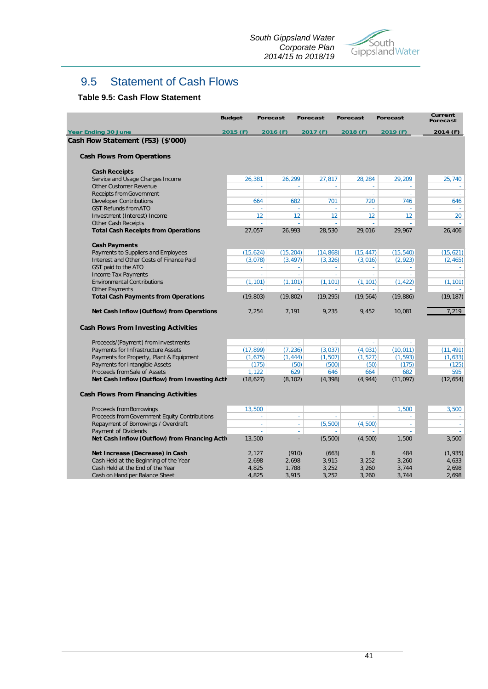

## 9.5 Statement of Cash Flows

#### **Table 9.5: Cash Flow Statement**

|                                                | <b>Budget</b> | <b>Forecast</b> | <b>Forecast</b>            | <b>Forecast</b> | <b>Forecast</b> | Current<br><b>Forecast</b> |
|------------------------------------------------|---------------|-----------------|----------------------------|-----------------|-----------------|----------------------------|
| <b>Year Ending 30 June</b>                     | 2015 (F)      | 2016 (F)        | 2017 (F)                   | 2018 (F)        | 2019 (F)        | 2014 (F)                   |
| Cash Flow Statement (FS3) (\$'000)             |               |                 |                            |                 |                 |                            |
| <b>Cash Flows From Operations</b>              |               |                 |                            |                 |                 |                            |
| <b>Cash Receipts</b>                           |               |                 |                            |                 |                 |                            |
| Service and Usage Charges Income               | 26,381        | 26,299          | 27,817                     | 28,284          | 29,209          | 25,740                     |
| Other Customer Revenue                         |               | ÷               |                            | ÷.              |                 | $\sim$                     |
| <b>Receipts from Government</b>                |               | ÷,              | $\omega$                   | $\sim$<br>÷     | ÷               | $\sim$                     |
| <b>Developer Contributions</b>                 | 664           |                 | 682                        | 701<br>720      | 746             | 646                        |
| <b>GST Refunds from ATO</b>                    |               | ÷.              |                            |                 |                 |                            |
| Investment (Interest) Income                   |               | 12              | 12                         | 12<br>12        | 12 <sup>°</sup> | 20                         |
| <b>Other Cash Receipts</b>                     |               | ÷.              | ÷                          | ÷.<br>÷.        |                 | $\sim$                     |
| <b>Total Cash Receipts from Operations</b>     | 27,057        | 26,993          | 28,530                     | 29,016          | 29,967          | 26,406                     |
| <b>Cash Payments</b>                           |               |                 |                            |                 |                 |                            |
| Payments to Suppliers and Employees            | (15, 624)     | (15, 204)       | (14, 868)                  | (15, 447)       | (15, 540)       | (15, 621)                  |
| Interest and Other Costs of Finance Paid       | (3,078)       | (3, 497)        | (3, 326)                   | (3,016)         | (2, 923)        | (2, 465)                   |
| GST paid to the ATO                            |               |                 |                            | ÷.              |                 |                            |
| Income Tax Payments                            |               | ÷.              |                            | ÷               | ä,              | ÷.                         |
| <b>Environmental Contributions</b>             | (1, 101)      | (1, 101)        | (1, 101)                   | (1, 101)        | (1, 422)        | (1, 101)                   |
| <b>Other Payments</b>                          |               |                 |                            |                 |                 |                            |
| <b>Total Cash Payments from Operations</b>     | (19, 803)     | (19, 802)       | (19, 295)                  | (19, 564)       | (19, 886)       | (19, 187)                  |
| Net Cash Inflow (Outflow) from Operations      | 7,254         | 7,191           | 9,235                      | 9,452           | 10,081          | 7,219                      |
| Cash Flows From Investing Activities           |               |                 |                            |                 |                 |                            |
| Proceeds/(Payment) from Investments            |               | $\sim$          | $\sim$                     | $\sim$<br>÷     | ÷               | $\sim$                     |
| Payments for Infrastructure Assets             | (17, 899)     | (7, 236)        | (3,037)                    | (4,031)         | (10, 011)       | (11, 491)                  |
| Payments for Property, Plant & Equipment       | (1,675)       |                 | (1, 444)<br>(1, 507)       | (1, 527)        | (1, 593)        | (1, 633)                   |
| Payments for Intangible Assets                 |               | (175)           | (50)                       | (500)<br>(50)   | (175)           | (125)                      |
| Proceeds from Sale of Assets                   | 1,122         |                 | 629                        | 646<br>664      | 682             | 595                        |
| Net Cash Inflow (Outflow) from Investing Activ | (18, 627)     | (8, 102)        | (4, 398)                   | (4, 944)        | (11, 097)       | (12, 654)                  |
| Cash Flows From Financing Activities           |               |                 |                            |                 |                 |                            |
| Proceeds from Borrowings                       | 13,500        |                 |                            |                 | 1,500           | 3,500                      |
| Proceeds from Government Equity Contributions  |               | $\omega$        | ÷                          | ÷               | ÷.              | $\sim$                     |
| Repayment of Borrowings / Overdraft            |               | $\omega$        | (5, 500)<br>$\omega$       | (4,500)         | $\omega$        | ÷                          |
| Payment of Dividends                           |               | ÷.              | ÷.                         | ÷<br>÷          | ÷               | a.                         |
| Net Cash Inflow (Outflow) from Financing Activ | 13,500        |                 | (5, 500)<br>$\overline{a}$ | (4, 500)        | 1,500           | 3,500                      |
| Net Increase (Decrease) in Cash                | 2,127         |                 | (910)                      | (663)<br>8      | 484             | (1, 935)                   |
| Cash Held at the Beginning of the Year         | 2,698         | 2,698           | 3,915                      | 3,252           | 3,260           | 4,633                      |
| Cash Held at the End of the Year               | 4,825         | 1,788           | 3,252                      | 3,260           | 3,744           | 2,698                      |
| Cash on Hand per Balance Sheet                 | 4,825         | 3,915           | 3,252                      | 3,260           | 3,744           | 2,698                      |
|                                                |               |                 |                            |                 |                 |                            |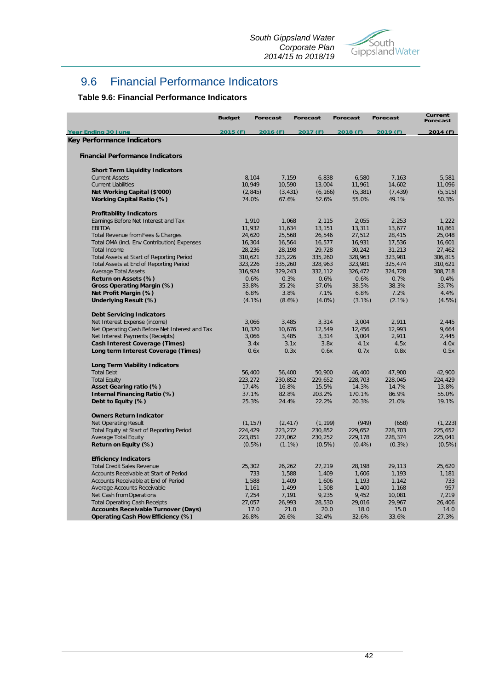

## 9.6 Financial Performance Indicators

#### **Table 9.6: Financial Performance Indicators**

|                                                | <b>Budget</b> | <b>Forecast</b> | <b>Forecast</b> | <b>Forecast</b> | <b>Forecast</b> | Current<br><b>Forecast</b> |
|------------------------------------------------|---------------|-----------------|-----------------|-----------------|-----------------|----------------------------|
| <b>Year Ending 30 June</b>                     | 2015 (F)      | 2016 (F)        | 2017 (F)        | 2018 (F)        | 2019 (F)        | 2014 (F)                   |
| Key Performance Indicators                     |               |                 |                 |                 |                 |                            |
| <b>Financial Performance Indicators</b>        |               |                 |                 |                 |                 |                            |
| <b>Short Term Liquidity Indicators</b>         |               |                 |                 |                 |                 |                            |
| <b>Current Assets</b>                          | 8,104         | 7,159           | 6,838           | 6,580           | 7,163           | 5,581                      |
| <b>Current Liabilities</b>                     | 10,949        | 10,590          | 13,004          | 11,961          | 14,602          | 11,096                     |
| Net Working Capital (\$'000)                   | (2, 845)      | (3, 431)        | (6, 166)        | (5, 381)        | (7, 439)        | (5, 515)                   |
| Working Capital Ratio (%)                      | 74.0%         | 67.6%           | 52.6%           | 55.0%           | 49.1%           | 50.3%                      |
| <b>Profitability Indicators</b>                |               |                 |                 |                 |                 |                            |
| Earnings Before Net Interest and Tax           | 1,910         | 1,068           | 2,115           | 2,055           | 2,253           | 1,222                      |
| <b>EBITDA</b>                                  | 11,932        | 11,634          | 13,151          | 13,311          | 13,677          | 10,861                     |
| Total Revenue from Fees & Charges              | 24,620        | 25,568          | 26,546          | 27,512          | 28,415          | 25,048                     |
| Total OMA (incl. Env Contribution) Expenses    | 16,304        | 16,564          | 16,577          | 16,931          | 17,536          | 16,601                     |
| <b>Total Income</b>                            | 28,236        | 28,198          | 29,728          | 30,242          | 31,213          | 27,462                     |
| Total Assets at Start of Reporting Period      | 310,621       | 323,226         | 335,260         | 328,963         | 323,981         | 306,815                    |
| Total Assets at End of Reporting Period        | 323,226       | 335,260         | 328,963         | 323,981         | 325,474         | 310,621                    |
| <b>Average Total Assets</b>                    | 316,924       | 329,243         | 332,112         | 326,472         | 324,728         | 308,718                    |
| Return on Assets (%)                           | 0.6%          | 0.3%            | 0.6%            | 0.6%            | 0.7%            | 0.4%                       |
| Gross Operating Margin (%)                     | 33.8%         | 35.2%           | 37.6%           | 38.5%           | 38.3%           | 33.7%                      |
| Net Profit Margin (%)                          | 6.8%          | 3.8%            | 7.1%            | 6.8%            | 7.2%            | 4.4%                       |
| Underlying Result (%)                          | $(4.1\%)$     | $(8.6\%)$       | $(4.0\%)$       | $(3.1\%)$       | $(2.1\%)$       | (4.5%)                     |
| <b>Debt Servicing Indicators</b>               |               |                 |                 |                 |                 |                            |
| Net Interest Expense (income)                  | 3,066         | 3,485           | 3,314           | 3,004           | 2,911           | 2,445                      |
| Net Operating Cash Before Net Interest and Tax | 10,320        | 10,676          | 12,549          | 12,456          | 12,993          | 9,664                      |
| Net Interest Payments (Receipts)               | 3,066         | 3,485           | 3,314           | 3,004           | 2,911           | 2,445                      |
| <b>Cash Interest Coverage (Times)</b>          | 3.4x          | 3.1x            | 3.8x            | 4.1x            | 4.5x            | 4.0x                       |
| Long term Interest Coverage (Times)            | 0.6x          | 0.3x            | 0.6x            | 0.7x            | 0.8x            | 0.5x                       |
| <b>Long Term Viability Indicators</b>          |               |                 |                 |                 |                 |                            |
| <b>Total Debt</b>                              | 56,400        | 56,400          | 50,900          | 46,400          | 47,900          | 42,900                     |
| <b>Total Equity</b>                            | 223,272       | 230,852         | 229,652         | 228,703         | 228,045         | 224,429                    |
| Asset Gearing ratio (%)                        | 17.4%         | 16.8%           | 15.5%           | 14.3%           | 14.7%           | 13.8%                      |
| Internal Financing Ratio (%)                   | 37.1%         | 82.8%           | 203.2%          | 170.1%          | 86.9%           | 55.0%                      |
| Debt to Equity (%)                             | 25.3%         | 24.4%           | 22.2%           | 20.3%           | 21.0%           | 19.1%                      |
| <b>Owners Return Indicator</b>                 |               |                 |                 |                 |                 |                            |
| <b>Net Operating Result</b>                    | (1, 157)      | (2, 417)        | (1, 199)        | (949)           | (658)           | (1, 223)                   |
| Total Equity at Start of Reporting Period      | 224,429       | 223,272         | 230,852         | 229,652         | 228,703         | 225,652                    |
| <b>Average Total Equity</b>                    | 223,851       | 227,062         | 230,252         | 229,178         | 228,374         | 225,041                    |
| Return on Equity (%)                           | $(0.5\%)$     | $(1.1\%)$       | $(0.5\%)$       | $(0.4\%)$       | $(0.3\%)$       | $(0.5\%)$                  |
| <b>Efficiency Indicators</b>                   |               |                 |                 |                 |                 |                            |
| <b>Total Credit Sales Revenue</b>              | 25,302        | 26,262          | 27,219          | 28,198          | 29,113          | 25,620                     |
| Accounts Receivable at Start of Period         |               | 1,588<br>733    | 1,409           | 1,606           | 1,193           | 1,181                      |
| Accounts Receivable at End of Period           | 1,588         | 1,409           | 1,606           | 1,193           | 1,142           | 733                        |
| Average Accounts Receivable                    | 1,161         | 1,499           | 1,508           | 1,400           | 1,168           | 957                        |
| Net Cash from Operations                       | 7,254         | 7,191           | 9,235           | 9,452           | 10,081          | 7.219                      |
| <b>Total Operating Cash Receipts</b>           | 27,057        | 26,993          | 28,530          | 29,016          | 29,967          | 26,406                     |
| <b>Accounts Receivable Turnover (Days)</b>     | 17.0          | 21.0            | 20.0            | 18.0            | 15.0            | 14.0                       |
| Operating Cash Flow Efficiency (%)             | 26.8%         | 26.6%           | 32.4%           | 32.6%           | 33.6%           | 27.3%                      |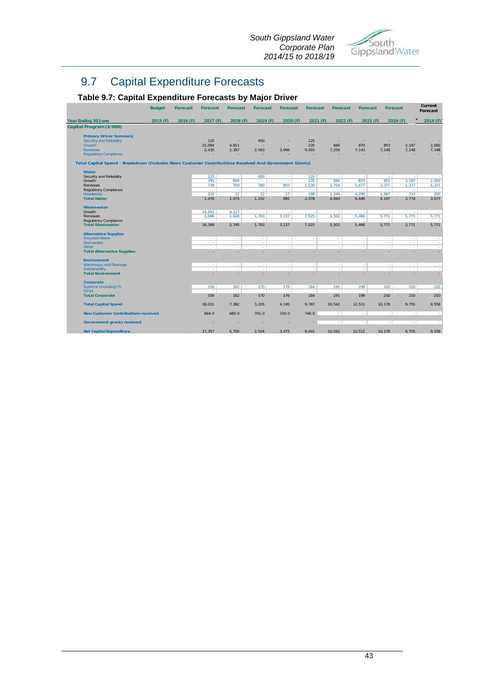

## 9.7 Capital Expenditure Forecasts

### **Table 9.7: Capital Expenditure Forecasts by Major Driver**

|                                                                                                       | <b>Budget</b> | <b>Forecast</b> | <b>Forecast</b>  | <b>Forecast</b> | <b>Forecast</b> | <b>Forecast</b> | <b>Forecast</b>  | <b>Forecast</b>  | <b>Forecast</b> | <b>Forecast</b> |                  | Current<br>Forecast |
|-------------------------------------------------------------------------------------------------------|---------------|-----------------|------------------|-----------------|-----------------|-----------------|------------------|------------------|-----------------|-----------------|------------------|---------------------|
| Year Ending 30 June                                                                                   | 2015(F)       | 2016 (F)        | 2017 (F)         | 2018 (F)        | 2019 (F)        | 2020(F)         | 2021(F)          | 2022(F)          | 2023(F)         | 2024(F)         |                  | 2014 (F)            |
| Capital Program (\$'000)                                                                              |               |                 |                  |                 |                 |                 |                  |                  |                 |                 |                  |                     |
| <b>Primary Driver Summary</b>                                                                         |               |                 |                  |                 |                 |                 |                  |                  |                 |                 |                  |                     |
| <b>Security and Reliability</b>                                                                       |               |                 | 125              | ٠.              | 450             | ×               | 125              | ×                | ×               | ×               |                  |                     |
| <b>Growth</b>                                                                                         |               |                 | 15.084           | 4.811           |                 |                 | 235              | 846              | 870             | 853             | 2.187            | 2,000               |
| <b>Renewals</b>                                                                                       |               |                 | 2,435            | 2,387           | 2,563           | 3,996           | 9,055            | 7,256            | 7,143           | 7,148           | 7,148            | 7,148               |
| <b>Regulatory Compliance</b>                                                                          |               |                 |                  |                 |                 |                 |                  |                  |                 |                 |                  |                     |
| Total Capital Spend - Breakdown (Includes News Customer Contributions Received And Government Grants) |               |                 |                  |                 |                 |                 |                  |                  |                 |                 |                  |                     |
| Water                                                                                                 |               |                 |                  |                 |                 |                 |                  |                  |                 |                 |                  |                     |
| Security and Reliability                                                                              |               |                 | 125              | $\sim$          | 450             | ×               | 125              | $\sim$           | $\sim$          | ×.              | $\sim$           | ×.                  |
| Growth                                                                                                |               |                 | 391              | 694             | ÷               | $\sim$          | 235              | 846              | 870             | 853             | 2,187            | 2,000               |
| Renewals                                                                                              |               |                 | 739              | 759             | 780             | 859             | 1,530            | 1,754            | 1,677           | 1,377           | 1,377            | 1,377               |
| Regulatory Compliance                                                                                 |               |                 | ×                | $\sim$          | $\sim$          | $\sim$          | ×                | $\sim$           | $\sim$          | $\sim$          | ×                | $\sim$              |
| <b>Headworks</b>                                                                                      |               |                 | 221              | 22<br>1.475     | 22              | 23<br>882       | 188              | 2.249            | 4.299           | 1.967<br>4.197  | 210              | 200                 |
| <b>Total Water</b>                                                                                    |               |                 | 1,476            |                 | 1,252           |                 | 2,078            | 4.849            | 6,846           |                 | 3,774            | 3,577               |
| Wastewater                                                                                            |               |                 |                  |                 |                 |                 |                  |                  |                 |                 |                  |                     |
| Growth                                                                                                |               |                 | 14,693           | 4,117           | $\sim$          | ÷               | ÷                | ×                | ×               | $\sim$          | $\sim$           | ÷.                  |
| Renewals                                                                                              |               |                 | 1.696            | 1.628           | 1.783           | 3,137           | 7,525            | 5,502            | 5,466           | 5,771           | 5,771            | 5,771               |
| Requlatory Compliance                                                                                 |               |                 | ÷                | ÷.              | ×               | ÷               | ÷                | ×                | ×               |                 | ÷.               |                     |
| <b>Total Wastewater</b>                                                                               |               |                 | 16,389           | 5,745           | 1,783           | 3,137           | 7,525            | 5,502            | 5,466           | 5,771           | 5,771            | 5,771               |
| <b>Alternative Supplies</b>                                                                           |               |                 |                  |                 |                 |                 |                  |                  |                 |                 |                  |                     |
| <b>Recycled Water</b><br>Stormwater                                                                   |               |                 | $\sim$<br>$\sim$ | $\sim$<br>×.    | $\sim$<br>×     | $\sim$<br>×     | $\sim$<br>$\sim$ | $\sim$<br>$\sim$ | $\sim$<br>×     | $\sim$<br>×     | $\sim$<br>$\sim$ | $\sim$              |
| Other                                                                                                 |               |                 | ÷                | ÷.              | ÷               | ÷               | ÷                | ÷                | ×               | $\sim$          | ÷                | $\sim$<br>÷         |
| <b>Total Alternative Supplies</b>                                                                     |               |                 |                  | ٠               | ٠               | ٠               |                  | ٠                |                 |                 | ÷                | $\sim$              |
|                                                                                                       |               |                 |                  |                 |                 |                 |                  |                  |                 |                 |                  |                     |
| <b>Environment</b>                                                                                    |               |                 | $\sim$           | $\sim$          | $\sim$          | $\sim$          | $\sim$           | $\sim$           | $\sim$          | $\sim$          | $\sim$           | a l                 |
| <b>Waterways and Drainage</b><br><b>Sustainability</b>                                                |               |                 | ÷                | ×               | ×               | ×               | ×                | ×                | ×               | ×               | ÷                | ÷                   |
| <b>Total Environment</b>                                                                              |               |                 |                  | ٠               |                 | ٠               |                  |                  |                 |                 |                  |                     |
|                                                                                                       |               |                 |                  |                 |                 |                 |                  |                  |                 |                 |                  |                     |
| Corporate                                                                                             |               |                 |                  |                 |                 |                 |                  |                  |                 |                 |                  |                     |
| Systems (Including IT)                                                                                |               |                 | 156              | 162             | 170             | 176             | 184              | 191              | 199             | 210             | 210              | 210                 |
| Other                                                                                                 |               |                 | ÷<br>156         |                 | ÷<br>170        | 176             | ÷                | 191              | ÷<br>199        | 210             | ÷                |                     |
| <b>Total Corporate</b>                                                                                |               |                 |                  | 162             |                 |                 | 184              |                  |                 |                 | 210              | 210                 |
| <b>Total Capital Spend</b>                                                                            |               |                 | 18.021           | 7.382           | 3.205           | 4.195           | 9.787            | 10.542           | 12.511          | 10.178          | 9.755            | 9.558               |
| <b>New Customer Contributions received</b>                                                            |               |                 | 664.0            | 682.0           | 701.0           | 720.0           | 746.0            | $\sim$           | $\sim$          | A.              | A.               | $\sim$              |
| <b>Government grants received</b>                                                                     |               |                 |                  |                 |                 |                 |                  | $\sim$           | $\sim$          | ×.              | o.               | $\sim$              |
| <b>Net Capital Expenditure</b>                                                                        |               |                 | 17,357           | 6,700           | 2,504           | 3,475           | 9,041            | 10,542           | 12,511          | 10,178          | 9,755            | 9,558               |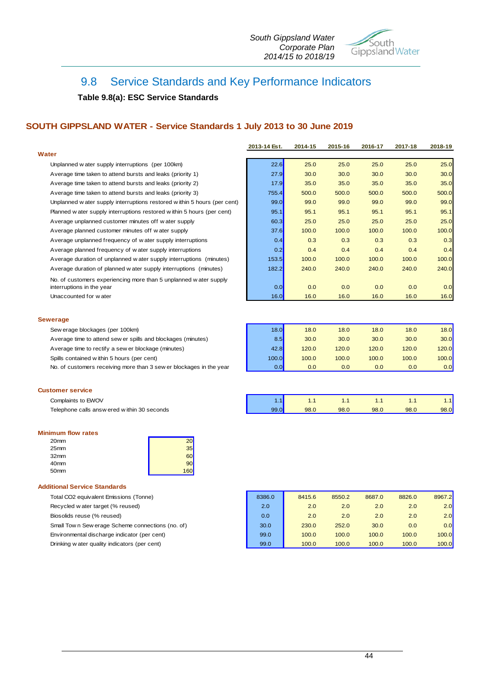

## 9.8 Service Standards and Key Performance Indicators

#### **Table 9.8(a): ESC Service Standards**

#### **SOUTH GIPPSLAND WATER - Service Standards 1 July 2013 to 30 June 2019**

|                                                                                               | 2013-14 Est. | 2014-15 | 2015-16 | 2016-17 | 2017-18 | 2018-19 |
|-----------------------------------------------------------------------------------------------|--------------|---------|---------|---------|---------|---------|
| Water                                                                                         |              |         |         |         |         |         |
| Unplanned w ater supply interruptions (per 100km)                                             | 22.6         | 25.0    | 25.0    | 25.0    | 25.0    | 25.0    |
| Average time taken to attend bursts and leaks (priority 1)                                    | 27.9         | 30.0    | 30.0    | 30.0    | 30.0    | 30.0    |
| Average time taken to attend bursts and leaks (priority 2)                                    | 17.9         | 35.0    | 35.0    | 35.0    | 35.0    | 35.0    |
| Average time taken to attend bursts and leaks (priority 3)                                    | 755.4        | 500.0   | 500.0   | 500.0   | 500.0   | 500.0   |
| Unplanned w ater supply interruptions restored within 5 hours (per cent)                      | 99.0         | 99.0    | 99.0    | 99.0    | 99.0    | 99.0    |
| Planned w ater supply interruptions restored w ithin 5 hours (per cent)                       | 95.1         | 95.1    | 95.1    | 95.1    | 95.1    | 95.1    |
| Average unplanned customer minutes off water supply                                           | 60.3         | 25.0    | 25.0    | 25.0    | 25.0    | 25.0    |
| Average planned customer minutes off water supply                                             | 37.6         | 100.0   | 100.0   | 100.0   | 100.0   | 100.0   |
| Average unplanned frequency of water supply interruptions                                     | 0.4          | 0.3     | 0.3     | 0.3     | 0.3     | 0.3     |
| Average planned frequency of water supply interruptions                                       | 0.2          | 0.4     | 0.4     | 0.4     | 0.4     | 0.4     |
| Average duration of unplanned w ater supply interruptions (minutes)                           | 153.5        | 100.0   | 100.0   | 100.0   | 100.0   | 100.0   |
| Average duration of planned w ater supply interruptions (minutes)                             | 182.2        | 240.0   | 240.0   | 240.0   | 240.0   | 240.0   |
| No. of customers experiencing more than 5 unplanned water supply<br>interruptions in the year | 0.0          | 0.0     | 0.0     | 0.0     | 0.0     | 0.0     |
| Unaccounted for water                                                                         | 16.0         | 16.0    | 16.0    | 16.0    | 16.0    | 16.0    |
| <b>Sewerage</b>                                                                               |              |         |         |         |         |         |
| Sew erage blockages (per 100km)                                                               | 18.0         | 18.0    | 18.0    | 18.0    | 18.0    | 18.0    |
| Average time to attend sew er spills and blockages (minutes)                                  | 8.5          | 30.0    | 30.0    | 30.0    | 30.0    | 30.0    |
| Average time to rectify a sew er blockage (minutes)                                           | 42.8         | 120.0   | 120.0   | 120.0   | 120.0   | 120.0   |
| Spills contained within 5 hours (per cent)                                                    | 100.0        | 100.0   | 100.0   | 100.0   | 100.0   | 100.0   |
| No. of customers receiving more than 3 sew er blockages in the year                           | 0.0          | 0.0     | 0.0     | 0.0     | 0.0     | 0.0     |

#### **Customer service**

| Complaints to EWOV<br>______                 |               |      |      |      |      | .    |
|----------------------------------------------|---------------|------|------|------|------|------|
| Telephone calls answ ered w ithin 30 seconds | $\sim$ $\sim$ | 98.0 | 98.0 | 98.0 | 98.C | 98.0 |

#### **Minimum flow rates**

| 20 <sub>mm</sub> |    |
|------------------|----|
| 25mm             | 35 |
| 32 <sub>mm</sub> | 60 |
| 40 <sub>mm</sub> | 90 |
| 50 <sub>mm</sub> |    |

#### **Additional Service Standards**

Total CO2 equivalent Emissions (Tonne)

Recycled w ater target (% reused)

Biosolids reuse (% reused)

Small Tow n Sew erage Scheme connections (no. of)

Environmental discharge indicator (per cent)

Drinking w ater quality indicators (per cent)

| 8386.0 | 8415.6 | 8550.2 | 8687.0 | 8826.0 | 8967.2 |
|--------|--------|--------|--------|--------|--------|
| 2.0    | 2.0    | 2.0    | 2.0    | 2.0    | 2.0    |
| 0.0    | 2.0    | 2.0    | 2.0    | 2.0    | 2.0    |
| 30.0   | 230.0  | 252.0  | 30.0   | 0.0    | 0.0    |
| 99.0   | 100.0  | 100.0  | 100.0  | 100.0  | 100.0  |
| 99.0   | 100.0  | 100.0  | 100.0  | 100.0  | 100.0  |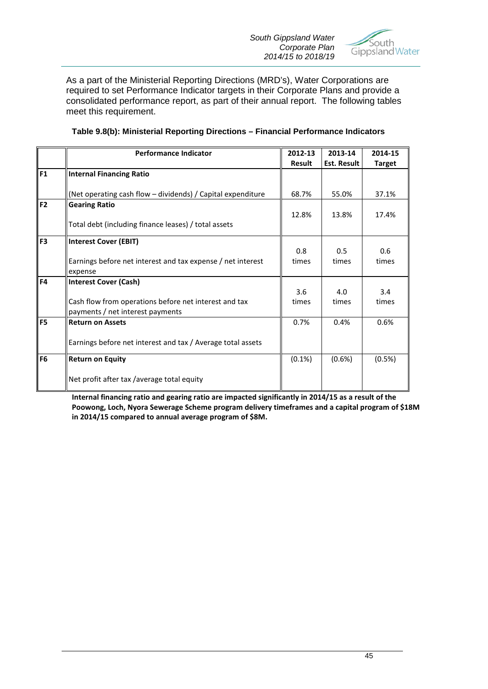

As a part of the Ministerial Reporting Directions (MRD's), Water Corporations are required to set Performance Indicator targets in their Corporate Plans and provide a consolidated performance report, as part of their annual report. The following tables meet this requirement.

|                | <b>Performance Indicator</b>                                | 2012-13       | 2013-14            | 2014-15       |
|----------------|-------------------------------------------------------------|---------------|--------------------|---------------|
|                |                                                             | <b>Result</b> | <b>Est. Result</b> | <b>Target</b> |
| F1             | <b>Internal Financing Ratio</b>                             |               |                    |               |
|                | (Net operating cash flow - dividends) / Capital expenditure | 68.7%         | 55.0%              | 37.1%         |
| F <sub>2</sub> | <b>Gearing Ratio</b>                                        |               |                    |               |
|                | Total debt (including finance leases) / total assets        | 12.8%         | 13.8%              | 17.4%         |
| F3             | <b>Interest Cover (EBIT)</b>                                |               |                    |               |
|                |                                                             | 0.8           | 0.5                | 0.6           |
|                | Earnings before net interest and tax expense / net interest | times         | times              | times         |
|                | expense                                                     |               |                    |               |
| F <sub>4</sub> | <b>Interest Cover (Cash)</b>                                |               |                    |               |
|                |                                                             | 3.6           | 4.0                | 3.4           |
|                | Cash flow from operations before net interest and tax       | times         | times              | times         |
|                | payments / net interest payments                            |               |                    |               |
| F <sub>5</sub> | <b>Return on Assets</b>                                     | 0.7%          | 0.4%               | 0.6%          |
|                | Earnings before net interest and tax / Average total assets |               |                    |               |
|                |                                                             |               |                    |               |
| F <sub>6</sub> | <b>Return on Equity</b>                                     | $(0.1\%)$     | (0.6%)             | (0.5%)        |
|                | Net profit after tax /average total equity                  |               |                    |               |

#### **Table 9.8(b): Ministerial Reporting Directions – Financial Performance Indicators**

**Internal financing ratio and gearing ratio are impacted significantly in 2014/15 as a result of the Poowong, Loch, Nyora Sewerage Scheme program delivery timeframes and a capital program of \$18M in 2014/15 compared to annual average program of \$8M.**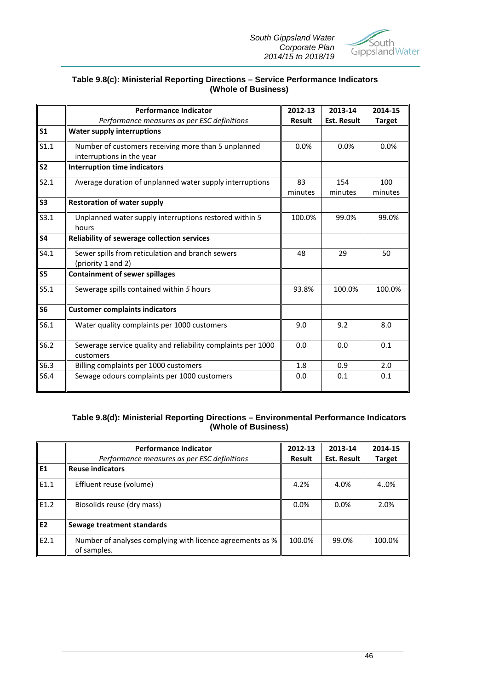*South Gippsland Water Corporate Plan 2014/15 to 2018/19*



#### **Table 9.8(c): Ministerial Reporting Directions – Service Performance Indicators (Whole of Business)**

|                | <b>Performance Indicator</b>                                                     | 2012-13       | 2013-14            | 2014-15        |
|----------------|----------------------------------------------------------------------------------|---------------|--------------------|----------------|
|                | Performance measures as per ESC definitions                                      | <b>Result</b> | <b>Est. Result</b> | <b>Target</b>  |
| S <sub>1</sub> | <b>Water supply interruptions</b>                                                |               |                    |                |
| S1.1           | Number of customers receiving more than 5 unplanned<br>interruptions in the year | 0.0%          | 0.0%               | 0.0%           |
| S <sub>2</sub> | <b>Interruption time indicators</b>                                              |               |                    |                |
| S2.1           | Average duration of unplanned water supply interruptions                         | 83<br>minutes | 154<br>minutes     | 100<br>minutes |
| S3             | <b>Restoration of water supply</b>                                               |               |                    |                |
| S3.1           | Unplanned water supply interruptions restored within 5<br>hours                  | 100.0%        | 99.0%              | 99.0%          |
| <b>S4</b>      | <b>Reliability of sewerage collection services</b>                               |               |                    |                |
| S4.1           | Sewer spills from reticulation and branch sewers<br>(priority 1 and 2)           | 48            | 29                 | 50             |
| S <sub>5</sub> | <b>Containment of sewer spillages</b>                                            |               |                    |                |
| S5.1           | Sewerage spills contained within 5 hours                                         | 93.8%         | 100.0%             | 100.0%         |
| S <sub>6</sub> | <b>Customer complaints indicators</b>                                            |               |                    |                |
| S6.1           | Water quality complaints per 1000 customers                                      | 9.0           | 9.2                | 8.0            |
| S6.2           | Sewerage service quality and reliability complaints per 1000<br>customers        | 0.0           | 0.0                | 0.1            |
| S6.3           | Billing complaints per 1000 customers                                            | 1.8           | 0.9                | 2.0            |
| S6.4           | Sewage odours complaints per 1000 customers                                      | 0.0           | 0.1                | 0.1            |

#### **Table 9.8(d): Ministerial Reporting Directions – Environmental Performance Indicators (Whole of Business)**

|                | <b>Performance Indicator</b>                                             | 2012-13 | 2013-14            | 2014-15       |
|----------------|--------------------------------------------------------------------------|---------|--------------------|---------------|
|                | Performance measures as per ESC definitions                              | Result  | <b>Est. Result</b> | <b>Target</b> |
| l E1           | <b>Reuse indicators</b>                                                  |         |                    |               |
| E1.1           | Effluent reuse (volume)                                                  | 4.2%    | 4.0%               | 40%           |
| E1.2           | Biosolids reuse (dry mass)                                               | 0.0%    | 0.0%               | 2.0%          |
| E <sub>2</sub> | Sewage treatment standards                                               |         |                    |               |
| E2.1           | Number of analyses complying with licence agreements as %<br>of samples. | 100.0%  | 99.0%              | 100.0%        |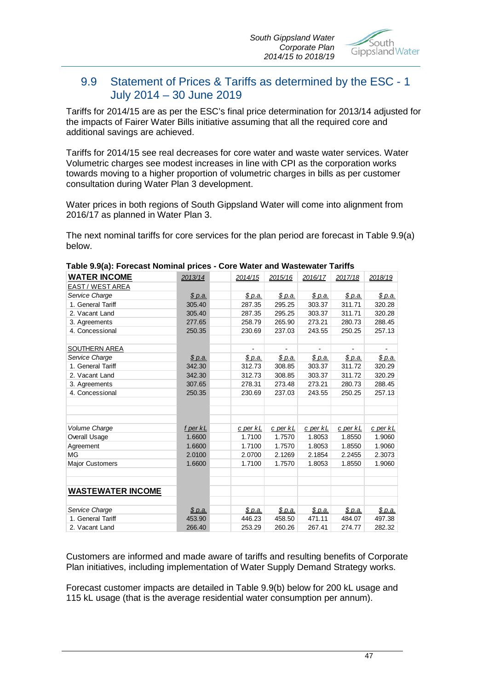

## 9.9 Statement of Prices & Tariffs as determined by the ESC - 1 July 2014 – 30 June 2019

Tariffs for 2014/15 are as per the ESC's final price determination for 2013/14 adjusted for the impacts of Fairer Water Bills initiative assuming that all the required core and additional savings are achieved.

Tariffs for 2014/15 see real decreases for core water and waste water services. Water Volumetric charges see modest increases in line with CPI as the corporation works towards moving to a higher proportion of volumetric charges in bills as per customer consultation during Water Plan 3 development.

Water prices in both regions of South Gippsland Water will come into alignment from 2016/17 as planned in Water Plan 3.

The next nominal tariffs for core services for the plan period are forecast in Table 9.9(a) below.

| <b>WATER INCOME</b>      | 2013/14        | 2014/15        | 2015/16        | 2016/17        | 2017/18        | 2018/19        |
|--------------------------|----------------|----------------|----------------|----------------|----------------|----------------|
| EAST / WEST AREA         |                |                |                |                |                |                |
| Service Charge           | <u>\$ p.a.</u> | <u>\$ p.a.</u> | <u>\$ p.a.</u> | <u>\$ p.a.</u> | <u>\$ p.a.</u> | <u>\$ p.a.</u> |
| 1. General Tariff        | 305.40         | 287.35         | 295.25         | 303.37         | 311.71         | 320.28         |
| 2. Vacant Land           | 305.40         | 287.35         | 295.25         | 303.37         | 311.71         | 320.28         |
| 3. Agreements            | 277.65         | 258.79         | 265.90         | 273.21         | 280.73         | 288.45         |
| 4. Concessional          | 250.35         | 230.69         | 237.03         | 243.55         | 250.25         | 257.13         |
| SOUTHERN AREA            |                |                |                |                |                |                |
| Service Charge           | \$p.a.         | \$ p.a.        | <u>\$ p.a.</u> | \$p.a.         | \$p.a.         | \$ p.a.        |
| 1. General Tariff        | 342.30         | 312.73         | 308.85         | 303.37         | 311.72         | 320.29         |
| 2. Vacant Land           | 342.30         | 312.73         | 308.85         | 303.37         | 311.72         | 320.29         |
| 3. Agreements            | 307.65         | 278.31         | 273.48         | 273.21         | 280.73         | 288.45         |
| 4. Concessional          | 250.35         | 230.69         | 237.03         | 243.55         | 250.25         | 257.13         |
|                          |                |                |                |                |                |                |
| Volume Charge            | f per kL       | c per kL       | c per kL       | c per kL       | c per kL       | c per kL       |
| Overall Usage            | 1.6600         | 1.7100         | 1.7570         | 1.8053         | 1.8550         | 1.9060         |
| Agreement                | 1.6600         | 1.7100         | 1.7570         | 1.8053         | 1.8550         | 1.9060         |
| MG                       | 2.0100         | 2.0700         | 2.1269         | 2.1854         | 2.2455         | 2.3073         |
| <b>Major Customers</b>   | 1.6600         | 1.7100         | 1.7570         | 1.8053         | 1.8550         | 1.9060         |
| <b>WASTEWATER INCOME</b> |                |                |                |                |                |                |
| Service Charge           | <u>\$ p.a.</u> | \$ p.a.        | \$ p.a.        | \$p.a.         | \$ p.a.        | \$ p.a.        |
| 1. General Tariff        | 453.90         | 446.23         | 458.50         | 471.11         | 484.07         | 497.38         |
| 2. Vacant Land           | 266.40         | 253.29         | 260.26         | 267.41         | 274.77         | 282.32         |

#### **Table 9.9(a): Forecast Nominal prices - Core Water and Wastewater Tariffs**

Customers are informed and made aware of tariffs and resulting benefits of Corporate Plan initiatives, including implementation of Water Supply Demand Strategy works.

Forecast customer impacts are detailed in Table 9.9(b) below for 200 kL usage and 115 kL usage (that is the average residential water consumption per annum).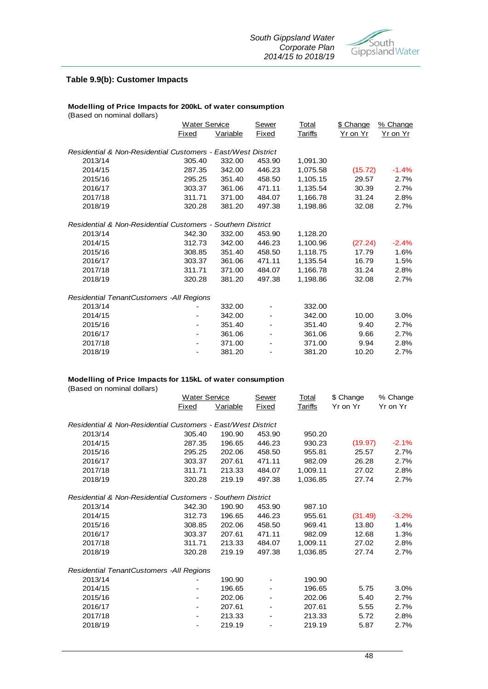

#### **Table 9.9(b): Customer Impacts**

#### **Modelling of Price Impacts for 200kL of water consumption**

(Based on nominal dollars) Sewer Total \$ Change % Change Fixed Variable Fixed Tariffs Yr on Yr Yr on Yr *Residential & Non-Residential Customers - East/West District* 2013/14 305.40 332.00 453.90 1,091.30 2014/15 287.35 342.00 446.23 1,075.58 (15.72) -1.4% 2015/16 295.25 351.40 458.50 1,105.15 29.57 2.7% 2016/17 303.37 361.06 471.11 1,135.54 30.39 2.7% 2017/18 311.71 371.00 484.07 1,166.78 31.24 2.8% 2018/19 320.28 381.20 497.38 1,198.86 32.08 2.7% *Residential & Non-Residential Customers - Southern District* 2013/14 342.30 332.00 453.90 1,128.20 2014/15 312.73 342.00 446.23 1,100.96 (27.24) -2.4% 2015/16 308.85 351.40 458.50 1,118.75 17.79 1.6% 2016/17 303.37 361.06 471.11 1,135.54 16.79 1.5% 2017/18 311.71 371.00 484.07 1,166.78 31.24 2.8% 2018/19 320.28 381.20 497.38 1,198.86 32.08 2.7% *Residential TenantCustomers -All Regions* 2013/14 - 332.00 - 332.00 2014/15 - 342.00 - 342.00 10.00 3.0% 2015/16 - 351.40 - 351.40 9.40 2.7% 2016/17 - 361.06 - 361.06 9.66 2.7% 2017/18 - 371.00 - 371.00 9.94 2.8% 2018/19 - 381.20 - 381.20 10.20 2.7% Water Service

#### **Modelling of Price Impacts for 115kL of water consumption**

(Based on nominal dollars)

|                                                              | Water Service                |          | Sewer        | Total          | \$ Change | % Change |
|--------------------------------------------------------------|------------------------------|----------|--------------|----------------|-----------|----------|
|                                                              | Fixed                        | Variable | <b>Fixed</b> | <b>Tariffs</b> | Yr on Yr  | Yr on Yr |
| Residential & Non-Residential Customers - East/West District |                              |          |              |                |           |          |
| 2013/14                                                      | 305.40                       | 190.90   | 453.90       | 950.20         |           |          |
| 2014/15                                                      | 287.35                       | 196.65   | 446.23       | 930.23         | (19.97)   | $-2.1%$  |
| 2015/16                                                      | 295.25                       | 202.06   | 458.50       | 955.81         | 25.57     | 2.7%     |
| 2016/17                                                      | 303.37                       | 207.61   | 471.11       | 982.09         | 26.28     | 2.7%     |
| 2017/18                                                      | 311.71                       | 213.33   | 484.07       | 1,009.11       | 27.02     | 2.8%     |
| 2018/19                                                      | 320.28                       | 219.19   | 497.38       | 1,036.85       | 27.74     | 2.7%     |
| Residential & Non-Residential Customers - Southern District  |                              |          |              |                |           |          |
| 2013/14                                                      | 342.30                       | 190.90   | 453.90       | 987.10         |           |          |
| 2014/15                                                      | 312.73                       | 196.65   | 446.23       | 955.61         | (31.49)   | $-3.2%$  |
| 2015/16                                                      | 308.85                       | 202.06   | 458.50       | 969.41         | 13.80     | 1.4%     |
| 2016/17                                                      | 303.37                       | 207.61   | 471.11       | 982.09         | 12.68     | 1.3%     |
| 2017/18                                                      | 311.71                       | 213.33   | 484.07       | 1,009.11       | 27.02     | 2.8%     |
| 2018/19                                                      | 320.28                       | 219.19   | 497.38       | 1,036.85       | 27.74     | 2.7%     |
| Residential TenantCustomers -All Regions                     |                              |          |              |                |           |          |
| 2013/14                                                      |                              | 190.90   |              | 190.90         |           |          |
| 2014/15                                                      |                              | 196.65   |              | 196.65         | 5.75      | 3.0%     |
| 2015/16                                                      |                              | 202.06   |              | 202.06         | 5.40      | 2.7%     |
| 2016/17                                                      |                              | 207.61   |              | 207.61         | 5.55      | 2.7%     |
| 2017/18                                                      | $\qquad \qquad \blacksquare$ | 213.33   |              | 213.33         | 5.72      | 2.8%     |
| 2018/19                                                      |                              | 219.19   |              | 219.19         | 5.87      | 2.7%     |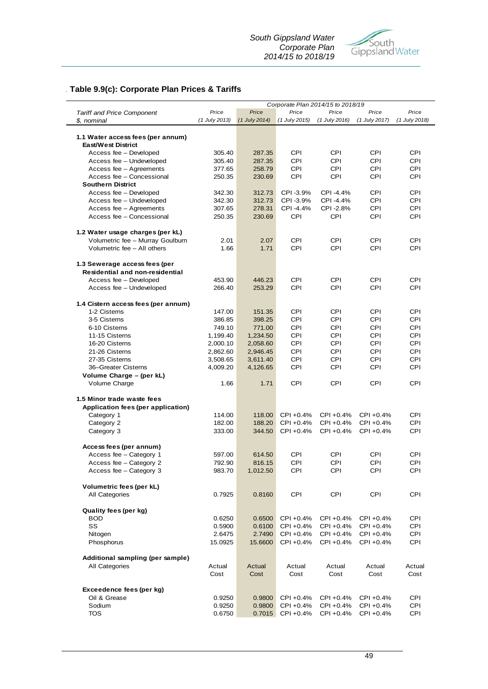

## *.* **Table 9.9(c): Corporate Plan Prices & Tariffs**

|                                          | Corporate Plan 2014/15 to 2018/19 |                |                |                |                |                |  |
|------------------------------------------|-----------------------------------|----------------|----------------|----------------|----------------|----------------|--|
| <b>Tariff and Price Component</b>        | Price                             | Price          | Price          | Price          | Price          | Price          |  |
| \$, nominal                              | (1 July 2013)                     | (1 July 2014)  | (1 July 2015)  | (1 July 2016)  | (1 July 2017)  | (1 July 2018)  |  |
|                                          |                                   |                |                |                |                |                |  |
| 1.1 Water access fees (per annum)        |                                   |                |                |                |                |                |  |
| <b>East/West District</b>                |                                   |                |                |                |                |                |  |
| Access fee - Developed                   | 305.40                            | 287.35         | CPI            | <b>CPI</b>     | CPI            | <b>CPI</b>     |  |
| Access fee - Undeveloped                 | 305.40                            | 287.35         | CPI            | <b>CPI</b>     | <b>CPI</b>     | CPI            |  |
| Access fee - Agreements                  | 377.65                            | 258.79         | <b>CPI</b>     | <b>CPI</b>     | CPI            | <b>CPI</b>     |  |
| Access fee - Concessional                | 250.35                            | 230.69         | <b>CPI</b>     | <b>CPI</b>     | <b>CPI</b>     | CPI            |  |
| <b>Southern District</b>                 |                                   |                |                |                |                |                |  |
| Access fee - Developed                   | 342.30                            | 312.73         | CPI-3.9%       | CPI -4.4%      | CPI            | CPI            |  |
| Access fee - Undeveloped                 | 342.30                            | 312.73         | CPI-3.9%       | CPI -4.4%      | CPI            | CPI            |  |
| Access fee - Agreements                  | 307.65                            | 278.31         | CPI-4.4%       | CPI -2.8%      | CPI            | CPI            |  |
| Access fee - Concessional                | 250.35                            | 230.69         | CPI            | CPI            | CPI            | CPI            |  |
| 1.2 Water usage charges (per kL)         |                                   |                |                |                |                |                |  |
| Volumetric fee - Murray Goulburn         | 2.01                              | 2.07           | <b>CPI</b>     | <b>CPI</b>     | CPI            | CPI            |  |
| Volumetric fee - All others              | 1.66                              | 1.71           | CPI            | <b>CPI</b>     | CPI            | CPI            |  |
| 1.3 Sewerage access fees (per            |                                   |                |                |                |                |                |  |
| <b>Residential and non-residential</b>   |                                   |                |                |                |                |                |  |
| Access fee - Developed                   | 453.90                            | 446.23         | <b>CPI</b>     | CPI            | CPI            | CPI            |  |
| Access fee - Undeveloped                 | 266.40                            | 253.29         | CPI            | <b>CPI</b>     | <b>CPI</b>     | <b>CPI</b>     |  |
| 1.4 Cistern access fees (per annum)      |                                   |                |                |                |                |                |  |
| 1-2 Cisterns                             | 147.00                            | 151.35         | <b>CPI</b>     | <b>CPI</b>     | CPI            | CPI            |  |
| 3-5 Cisterns                             | 386.85                            | 398.25         | <b>CPI</b>     | <b>CPI</b>     | <b>CPI</b>     | <b>CPI</b>     |  |
| 6-10 Cisterns                            | 749.10                            | 771.00         | CPI            | <b>CPI</b>     | <b>CPI</b>     | <b>CPI</b>     |  |
| 11-15 Cisterns                           | 1,199.40                          | 1,234.50       | <b>CPI</b>     | CPI            | CPI            | CPI            |  |
| 16-20 Cisterns                           | 2,000.10                          | 2,058.60       | <b>CPI</b>     | <b>CPI</b>     | <b>CPI</b>     | <b>CPI</b>     |  |
| 21-26 Cisterns                           | 2,862.60                          | 2,946.45       | <b>CPI</b>     | CPI            | CPI            | CPI            |  |
| 27-35 Cisterns                           | 3,508.65                          | 3,611.40       | <b>CPI</b>     | <b>CPI</b>     | <b>CPI</b>     | <b>CPI</b>     |  |
| 36-Greater Cisterns                      | 4,009.20                          | 4,126.65       | CPI            | <b>CPI</b>     | <b>CPI</b>     | <b>CPI</b>     |  |
| Volume Charge - (per kL)                 |                                   |                |                |                |                |                |  |
| Volume Charge                            | 1.66                              | 1.71           | <b>CPI</b>     | <b>CPI</b>     | <b>CPI</b>     | CPI            |  |
| 1.5 Minor trade waste fees               |                                   |                |                |                |                |                |  |
| Application fees (per application)       |                                   |                |                |                |                |                |  |
| Category 1                               | 114.00                            | 118.00         | CPI +0.4%      | CPI +0.4%      | $CPI + 0.4%$   | CPI            |  |
| Category 2                               | 182.00                            | 188.20         | CPI +0.4%      | CPI +0.4%      | CPI +0.4%      | <b>CPI</b>     |  |
| Category 3                               | 333.00                            | 344.50         | CPI +0.4%      | CPI +0.4%      | CPI +0.4%      | <b>CPI</b>     |  |
| Access fees (per annum)                  |                                   |                |                |                |                |                |  |
| Access fee - Category 1                  | 597.00                            | 614.50         | <b>CPI</b>     | <b>CPI</b>     | <b>CPI</b>     | <b>CPI</b>     |  |
| Access fee - Category 2                  | 792.90                            | 816.15         | CPI            | CPI            | <b>CPI</b>     | <b>CPI</b>     |  |
| Access fee - Category 3                  | 983.70                            | 1,012.50       | CPI            | <b>CPI</b>     | CPI            | <b>CPI</b>     |  |
| Volumetric fees (per kL)                 |                                   |                |                |                |                |                |  |
| All Categories                           | 0.7925                            | 0.8160         | <b>CPI</b>     | <b>CPI</b>     | <b>CPI</b>     | <b>CPI</b>     |  |
| Quality fees (per kg)                    |                                   |                |                |                |                |                |  |
| <b>BOD</b>                               | 0.6250                            | 0.6500         | CPI +0.4%      | CPI +0.4%      | CPI +0.4%      | CPI            |  |
| SS                                       | 0.5900                            | 0.6100         | CPI +0.4%      | CPI +0.4%      | CPI +0.4%      | CPI            |  |
| Nitogen                                  | 2.6475                            | 2.7490         | CPI +0.4%      | CPI +0.4%      | CPI +0.4%      | <b>CPI</b>     |  |
| Phosphorus                               | 15.0925                           | 15.6600        | CPI +0.4%      | CPI +0.4%      | CPI +0.4%      | <b>CPI</b>     |  |
| Additional sampling (per sample)         |                                   |                |                |                |                |                |  |
| All Categories                           | Actual<br>Cost                    | Actual<br>Cost | Actual<br>Cost | Actual<br>Cost | Actual<br>Cost | Actual<br>Cost |  |
|                                          |                                   |                |                |                |                |                |  |
| Exceedence fees (per kg)<br>Oil & Grease | 0.9250                            | 0.9800         | CPI +0.4%      | CPI +0.4%      | CPI +0.4%      | CPI            |  |
| Sodium                                   | 0.9250                            | 0.9800         | CPI +0.4%      | CPI +0.4%      | CPI +0.4%      | <b>CPI</b>     |  |
| <b>TOS</b>                               | 0.6750                            | 0.7015         | CPI +0.4%      | CPI +0.4%      | CPI +0.4%      | <b>CPI</b>     |  |
|                                          |                                   |                |                |                |                |                |  |